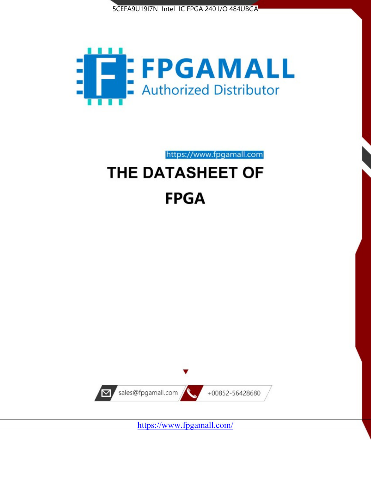



https://www.fpgamall.com THE DATASHEET OF

# **FPGA**



<https://www.fpgamall.com/>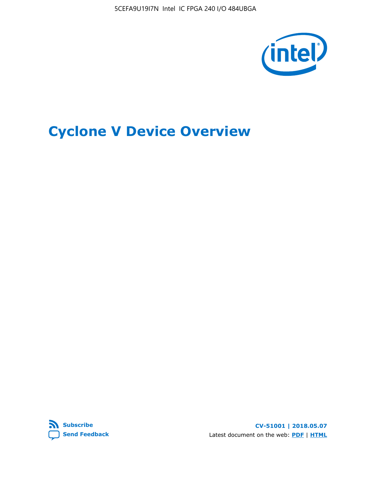5CEFA9U19I7N Intel IC FPGA 240 I/O 484UBGA



# **Cyclone V Device Overview**



**CV-51001 | 2018.05.07** Latest document on the web: **[PDF](https://www.altera.com/en_US/pdfs/literature/hb/cyclone-v/cv_51001.pdf)** | **[HTML](https://www.altera.com/documentation/sam1403480548153.html)**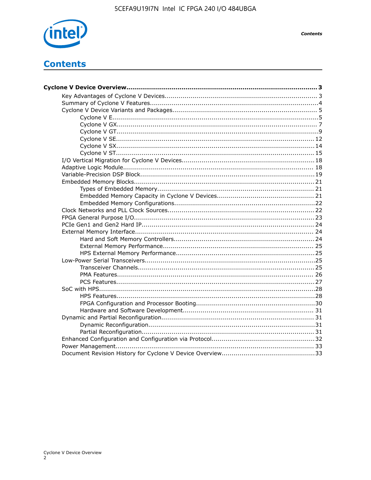

# **Contents**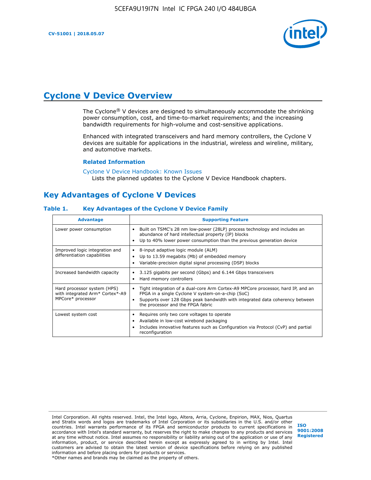

# **Cyclone V Device Overview**

The Cyclone® V devices are designed to simultaneously accommodate the shrinking power consumption, cost, and time-to-market requirements; and the increasing bandwidth requirements for high-volume and cost-sensitive applications.

Enhanced with integrated transceivers and hard memory controllers, the Cyclone V devices are suitable for applications in the industrial, wireless and wireline, military, and automotive markets.

#### **Related Information**

[Cyclone V Device Handbook: Known Issues](https://www.altera.com/support/support-resources/knowledge-base/solutions/rd12152011_347.html) Lists the planned updates to the Cyclone V Device Handbook chapters.

## **Key Advantages of Cyclone V Devices**

#### **Table 1. Key Advantages of the Cyclone V Device Family**

| <b>Advantage</b>                                                                    | <b>Supporting Feature</b>                                                                                                                                                                                                                                                    |
|-------------------------------------------------------------------------------------|------------------------------------------------------------------------------------------------------------------------------------------------------------------------------------------------------------------------------------------------------------------------------|
| Lower power consumption                                                             | Built on TSMC's 28 nm low-power (28LP) process technology and includes an<br>$\bullet$<br>abundance of hard intellectual property (IP) blocks<br>Up to 40% lower power consumption than the previous generation device                                                       |
| Improved logic integration and<br>differentiation capabilities                      | 8-input adaptive logic module (ALM)<br>٠<br>Up to 13.59 megabits (Mb) of embedded memory<br>٠<br>Variable-precision digital signal processing (DSP) blocks                                                                                                                   |
| Increased bandwidth capacity                                                        | 3.125 gigabits per second (Gbps) and 6.144 Gbps transceivers<br>٠<br>Hard memory controllers<br>٠                                                                                                                                                                            |
| Hard processor system (HPS)<br>with integrated Arm* Cortex*-A9<br>MPCore* processor | Tight integration of a dual-core Arm Cortex-A9 MPCore processor, hard IP, and an<br>$\bullet$<br>FPGA in a single Cyclone V system-on-a-chip (SoC)<br>Supports over 128 Gbps peak bandwidth with integrated data coherency between<br>٠<br>the processor and the FPGA fabric |
| Lowest system cost                                                                  | Requires only two core voltages to operate<br>٠<br>Available in low-cost wirebond packaging<br>٠<br>Includes innovative features such as Configuration via Protocol (CvP) and partial<br>٠<br>reconfiguration                                                                |

Intel Corporation. All rights reserved. Intel, the Intel logo, Altera, Arria, Cyclone, Enpirion, MAX, Nios, Quartus and Stratix words and logos are trademarks of Intel Corporation or its subsidiaries in the U.S. and/or other countries. Intel warrants performance of its FPGA and semiconductor products to current specifications in accordance with Intel's standard warranty, but reserves the right to make changes to any products and services at any time without notice. Intel assumes no responsibility or liability arising out of the application or use of any information, product, or service described herein except as expressly agreed to in writing by Intel. Intel customers are advised to obtain the latest version of device specifications before relying on any published information and before placing orders for products or services. \*Other names and brands may be claimed as the property of others.

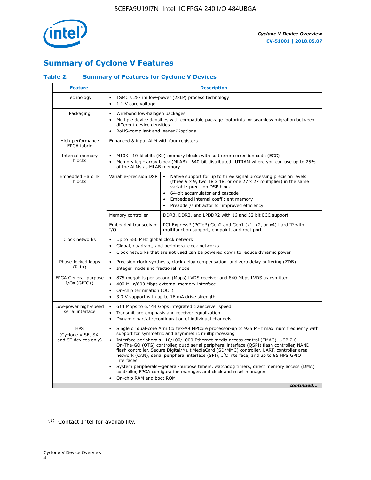

## **Summary of Cyclone V Features**

#### **Table 2. Summary of Features for Cyclone V Devices**

| <b>Feature</b>                                           | <b>Description</b>                                                                                                                                                                                                                                                                                                                        |                                                                                                                                                                                                                                                                                                                                                                                                                                                                                                                                                                                                                                                                                                         |  |  |  |  |  |  |
|----------------------------------------------------------|-------------------------------------------------------------------------------------------------------------------------------------------------------------------------------------------------------------------------------------------------------------------------------------------------------------------------------------------|---------------------------------------------------------------------------------------------------------------------------------------------------------------------------------------------------------------------------------------------------------------------------------------------------------------------------------------------------------------------------------------------------------------------------------------------------------------------------------------------------------------------------------------------------------------------------------------------------------------------------------------------------------------------------------------------------------|--|--|--|--|--|--|
| Technology                                               | TSMC's 28-nm low-power (28LP) process technology<br>$\bullet$<br>1.1 V core voltage<br>$\bullet$                                                                                                                                                                                                                                          |                                                                                                                                                                                                                                                                                                                                                                                                                                                                                                                                                                                                                                                                                                         |  |  |  |  |  |  |
| Packaging                                                | $\bullet$                                                                                                                                                                                                                                                                                                                                 | Wirebond low-halogen packages<br>Multiple device densities with compatible package footprints for seamless migration between<br>different device densities<br>RoHS-compliant and leaded $(1)$ options                                                                                                                                                                                                                                                                                                                                                                                                                                                                                                   |  |  |  |  |  |  |
| High-performance<br>FPGA fabric                          | Enhanced 8-input ALM with four registers                                                                                                                                                                                                                                                                                                  |                                                                                                                                                                                                                                                                                                                                                                                                                                                                                                                                                                                                                                                                                                         |  |  |  |  |  |  |
| Internal memory<br>blocks                                | of the ALMs as MLAB memory                                                                                                                                                                                                                                                                                                                | M10K-10-kilobits (Kb) memory blocks with soft error correction code (ECC)<br>Memory logic array block (MLAB)-640-bit distributed LUTRAM where you can use up to 25%                                                                                                                                                                                                                                                                                                                                                                                                                                                                                                                                     |  |  |  |  |  |  |
| Embedded Hard IP<br>blocks                               | Variable-precision DSP<br>Native support for up to three signal processing precision levels<br>(three $9 \times 9$ , two $18 \times 18$ , or one 27 x 27 multiplier) in the same<br>variable-precision DSP block<br>64-bit accumulator and cascade<br>Embedded internal coefficient memory<br>Preadder/subtractor for improved efficiency |                                                                                                                                                                                                                                                                                                                                                                                                                                                                                                                                                                                                                                                                                                         |  |  |  |  |  |  |
|                                                          | Memory controller                                                                                                                                                                                                                                                                                                                         | DDR3, DDR2, and LPDDR2 with 16 and 32 bit ECC support                                                                                                                                                                                                                                                                                                                                                                                                                                                                                                                                                                                                                                                   |  |  |  |  |  |  |
|                                                          | Embedded transceiver<br>I/O                                                                                                                                                                                                                                                                                                               | PCI Express* (PCIe*) Gen2 and Gen1 (x1, x2, or x4) hard IP with<br>multifunction support, endpoint, and root port                                                                                                                                                                                                                                                                                                                                                                                                                                                                                                                                                                                       |  |  |  |  |  |  |
| Clock networks                                           | Up to 550 MHz global clock network<br>$\bullet$<br>$\bullet$                                                                                                                                                                                                                                                                              | Global, quadrant, and peripheral clock networks<br>Clock networks that are not used can be powered down to reduce dynamic power                                                                                                                                                                                                                                                                                                                                                                                                                                                                                                                                                                         |  |  |  |  |  |  |
| Phase-locked loops<br>(PLLs)                             | $\bullet$<br>Integer mode and fractional mode<br>$\bullet$                                                                                                                                                                                                                                                                                | Precision clock synthesis, clock delay compensation, and zero delay buffering (ZDB)                                                                                                                                                                                                                                                                                                                                                                                                                                                                                                                                                                                                                     |  |  |  |  |  |  |
| FPGA General-purpose<br>$I/Os$ (GPIOs)                   | $\bullet$<br>$\bullet$<br>$\bullet$                                                                                                                                                                                                                                                                                                       | 875 megabits per second (Mbps) LVDS receiver and 840 Mbps LVDS transmitter<br>400 MHz/800 Mbps external memory interface<br>On-chip termination (OCT)<br>3.3 V support with up to 16 mA drive strength                                                                                                                                                                                                                                                                                                                                                                                                                                                                                                  |  |  |  |  |  |  |
| Low-power high-speed<br>serial interface                 | 614 Mbps to 6.144 Gbps integrated transceiver speed<br>$\bullet$<br>Transmit pre-emphasis and receiver equalization<br>$\bullet$<br>Dynamic partial reconfiguration of individual channels<br>$\bullet$                                                                                                                                   |                                                                                                                                                                                                                                                                                                                                                                                                                                                                                                                                                                                                                                                                                                         |  |  |  |  |  |  |
| <b>HPS</b><br>(Cyclone V SE, SX,<br>and ST devices only) | $\bullet$<br>$\bullet$<br>interfaces<br>On-chip RAM and boot ROM                                                                                                                                                                                                                                                                          | Single or dual-core Arm Cortex-A9 MPCore processor-up to 925 MHz maximum frequency with<br>support for symmetric and asymmetric multiprocessing<br>Interface peripherals-10/100/1000 Ethernet media access control (EMAC), USB 2.0<br>On-The-GO (OTG) controller, quad serial peripheral interface (QSPI) flash controller, NAND<br>flash controller, Secure Digital/MultiMediaCard (SD/MMC) controller, UART, controller area<br>network (CAN), serial peripheral interface (SPI), I <sup>2</sup> C interface, and up to 85 HPS GPIO<br>System peripherals—general-purpose timers, watchdog timers, direct memory access (DMA)<br>controller, FPGA configuration manager, and clock and reset managers |  |  |  |  |  |  |
|                                                          |                                                                                                                                                                                                                                                                                                                                           | continued                                                                                                                                                                                                                                                                                                                                                                                                                                                                                                                                                                                                                                                                                               |  |  |  |  |  |  |

<sup>(1)</sup> Contact Intel for availability.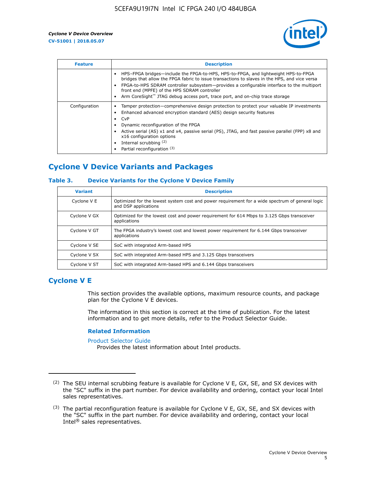

| <b>Feature</b> | <b>Description</b>                                                                                                                                                                                                                                                                                                                                                                                                    |
|----------------|-----------------------------------------------------------------------------------------------------------------------------------------------------------------------------------------------------------------------------------------------------------------------------------------------------------------------------------------------------------------------------------------------------------------------|
|                | HPS-FPGA bridges—include the FPGA-to-HPS, HPS-to-FPGA, and lightweight HPS-to-FPGA<br>bridges that allow the FPGA fabric to issue transactions to slaves in the HPS, and vice versa<br>FPGA-to-HPS SDRAM controller subsystem-provides a configurable interface to the multiport<br>front end (MPFE) of the HPS SDRAM controller<br>Arm CoreSight™ JTAG debug access port, trace port, and on-chip trace storage      |
| Configuration  | Tamper protection—comprehensive design protection to protect your valuable IP investments<br>Enhanced advanced encryption standard (AES) design security features<br>CvP<br>$\bullet$<br>Dynamic reconfiguration of the FPGA<br>Active serial (AS) x1 and x4, passive serial (PS), JTAG, and fast passive parallel (FPP) x8 and<br>x16 configuration options<br>Internal scrubbing (2)<br>Partial reconfiguration (3) |

## **Cyclone V Device Variants and Packages**

#### **Table 3. Device Variants for the Cyclone V Device Family**

| <b>Variant</b> | <b>Description</b>                                                                                                      |
|----------------|-------------------------------------------------------------------------------------------------------------------------|
| Cyclone V E    | Optimized for the lowest system cost and power requirement for a wide spectrum of general logic<br>and DSP applications |
| Cyclone V GX   | Optimized for the lowest cost and power requirement for 614 Mbps to 3.125 Gbps transceiver<br>applications              |
| Cyclone V GT   | The FPGA industry's lowest cost and lowest power requirement for 6.144 Gbps transceiver<br>applications                 |
| Cyclone V SE   | SoC with integrated Arm-based HPS                                                                                       |
| Cyclone V SX   | SoC with integrated Arm-based HPS and 3.125 Gbps transceivers                                                           |
| Cyclone V ST   | SoC with integrated Arm-based HPS and 6.144 Gbps transceivers                                                           |

## **Cyclone V E**

This section provides the available options, maximum resource counts, and package plan for the Cyclone V E devices.

The information in this section is correct at the time of publication. For the latest information and to get more details, refer to the Product Selector Guide.

#### **Related Information**

[Product Selector Guide](https://www.altera.com/products/product-selector-guide.html)

Provides the latest information about Intel products.

<sup>(2)</sup> The SEU internal scrubbing feature is available for Cyclone V E, GX, SE, and SX devices with the "SC" suffix in the part number. For device availability and ordering, contact your local Intel sales representatives.

 $(3)$  The partial reconfiguration feature is available for Cyclone V E, GX, SE, and SX devices with the "SC" suffix in the part number. For device availability and ordering, contact your local Intel® sales representatives.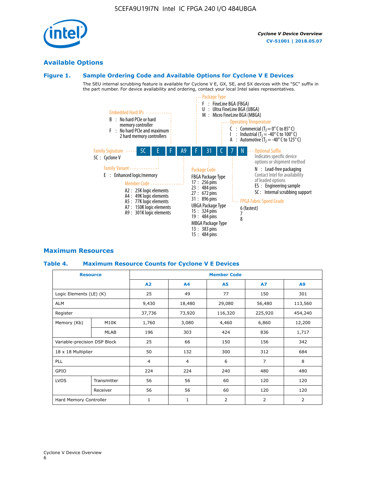## **Available Options**

#### **Figure 1. Sample Ordering Code and Available Options for Cyclone V E Devices**

The SEU internal scrubbing feature is available for Cyclone V E, GX, SE, and SX devices with the "SC" suffix in the part number. For device availability and ordering, contact your local Intel sales representatives.



## **Maximum Resources**

#### **Table 4. Maximum Resource Counts for Cyclone V E Devices**

| <b>Resource</b>              |             | <b>Member Code</b> |                |                |                |         |  |  |
|------------------------------|-------------|--------------------|----------------|----------------|----------------|---------|--|--|
|                              |             | A2                 | A <sub>4</sub> | <b>A5</b>      | <b>A7</b>      | A9      |  |  |
| Logic Elements (LE) (K)      |             | 25                 | 49             | 77             | 150            | 301     |  |  |
| <b>ALM</b>                   |             | 9,430              | 18,480         | 29,080         | 56,480         | 113,560 |  |  |
| Register                     |             | 37,736             | 73,920         | 116,320        | 225,920        | 454,240 |  |  |
| Memory (Kb)                  | M10K        | 1,760              | 3,080          | 4,460          | 6,860          | 12,200  |  |  |
|                              | MLAB        | 196                | 303            | 424            | 836            | 1,717   |  |  |
| Variable-precision DSP Block |             | 25                 | 66             | 150            | 156            | 342     |  |  |
| 18 x 18 Multiplier           |             | 50                 | 132            | 300            | 312            | 684     |  |  |
| PLL                          |             | $\overline{4}$     | 4              | 6              | $\overline{7}$ | 8       |  |  |
| GPIO                         |             | 224                | 224            | 240            | 480            | 480     |  |  |
| <b>LVDS</b>                  | Transmitter | 56                 | 56             | 60             | 120            | 120     |  |  |
|                              | Receiver    | 56                 | 56             | 60             | 120            | 120     |  |  |
| Hard Memory Controller       |             | $\mathbf{1}$       | $\mathbf{1}$   | $\overline{2}$ | $\overline{2}$ | 2       |  |  |

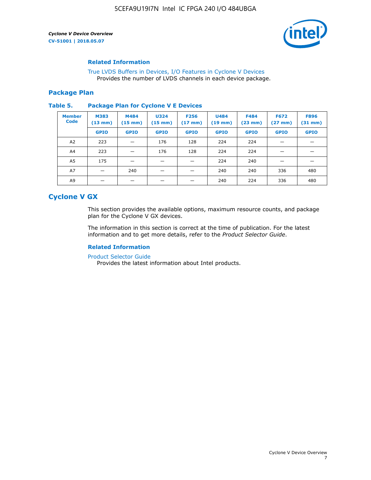

#### **Related Information**

[True LVDS Buffers in Devices, I/O Features in Cyclone V Devices](https://www.altera.com/documentation/sam1403481100977.html#sam1403480885395) Provides the number of LVDS channels in each device package.

#### **Package Plan**

#### **Table 5. Package Plan for Cyclone V E Devices**

| <b>Member</b><br><b>Code</b> | <b>M383</b><br>$(13 \text{ mm})$ | M484<br>$(15 \text{ mm})$ | <b>U324</b><br>$(15 \text{ mm})$ | <b>F256</b><br>$(17 \text{ mm})$ | <b>U484</b><br>$(19$ mm) | <b>F484</b><br>$(23$ mm $)$ | <b>F672</b><br>$(27 \, \text{mm})$ | <b>F896</b><br>$(31 \text{ mm})$ |
|------------------------------|----------------------------------|---------------------------|----------------------------------|----------------------------------|--------------------------|-----------------------------|------------------------------------|----------------------------------|
|                              | <b>GPIO</b>                      | <b>GPIO</b>               | <b>GPIO</b>                      | <b>GPIO</b>                      | <b>GPIO</b>              | <b>GPIO</b>                 | <b>GPIO</b>                        | <b>GPIO</b>                      |
| A2                           | 223                              |                           | 176                              | 128                              | 224                      | 224                         |                                    |                                  |
| A4                           | 223                              |                           | 176                              | 128                              | 224                      | 224                         |                                    |                                  |
| A <sub>5</sub>               | 175                              |                           |                                  |                                  | 224                      | 240                         |                                    |                                  |
| A7                           |                                  | 240                       |                                  |                                  | 240                      | 240                         | 336                                | 480                              |
| A9                           |                                  |                           |                                  |                                  | 240                      | 224                         | 336                                | 480                              |

## **Cyclone V GX**

This section provides the available options, maximum resource counts, and package plan for the Cyclone V GX devices.

The information in this section is correct at the time of publication. For the latest information and to get more details, refer to the *Product Selector Guide*.

#### **Related Information**

[Product Selector Guide](https://www.altera.com/products/product-selector-guide.html)

Provides the latest information about Intel products.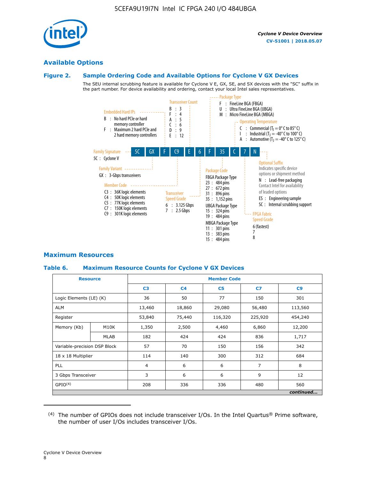

#### **Available Options**

#### **Figure 2. Sample Ordering Code and Available Options for Cyclone V GX Devices**

The SEU internal scrubbing feature is available for Cyclone V E, GX, SE, and SX devices with the "SC" suffix in the part number. For device availability and ordering, contact your local Intel sales representatives.



#### **Maximum Resources**

#### **Table 6. Maximum Resource Counts for Cyclone V GX Devices**

|                              | <b>Resource</b>   | <b>Member Code</b> |                |                |                |           |  |  |
|------------------------------|-------------------|--------------------|----------------|----------------|----------------|-----------|--|--|
|                              |                   | C <sub>3</sub>     | C <sub>4</sub> | C <sub>5</sub> | C7             | C9        |  |  |
| Logic Elements (LE) (K)      |                   | 36                 | 50             | 77             | 150            | 301       |  |  |
| <b>ALM</b>                   |                   | 13,460             | 18,860         | 29,080         | 56,480         | 113,560   |  |  |
| Register                     |                   | 53,840             | 75,440         | 116,320        | 225,920        | 454,240   |  |  |
| Memory (Kb)                  | M <sub>10</sub> K | 1,350              | 2,500          | 4,460          | 6,860          | 12,200    |  |  |
|                              | <b>MLAB</b>       | 182                | 424            | 424            | 836            | 1,717     |  |  |
| Variable-precision DSP Block |                   | 57                 | 70             | 150            | 156            | 342       |  |  |
| 18 x 18 Multiplier           |                   | 114                | 140            | 300            | 312            | 684       |  |  |
| PLL                          |                   | $\overline{4}$     | 6              | 6              | $\overline{7}$ | 8         |  |  |
| 3 Gbps Transceiver           |                   | 3                  | 6              | 6              | 9              | 12        |  |  |
| GPIO <sup>(4)</sup>          |                   | 208                | 336            | 336            | 480            | 560       |  |  |
|                              |                   |                    |                |                |                | continued |  |  |

 $(4)$  The number of GPIOs does not include transceiver I/Os. In the Intel Quartus® Prime software, the number of user I/Os includes transceiver I/Os.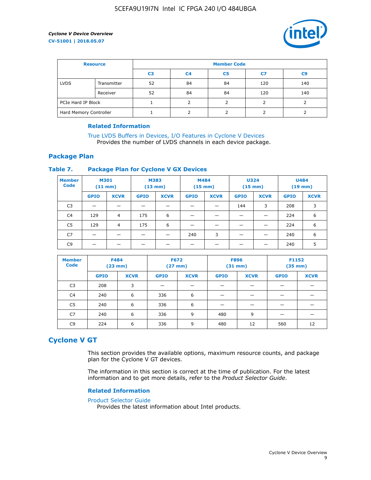

| <b>Resource</b>        |             | <b>Member Code</b> |                |                |     |     |  |  |
|------------------------|-------------|--------------------|----------------|----------------|-----|-----|--|--|
|                        |             | C3                 | C <sub>4</sub> | C <sub>5</sub> | C7  | C9  |  |  |
| <b>LVDS</b>            | Transmitter | 52                 | 84             | 84             | 120 | 140 |  |  |
|                        | Receiver    | 52                 | 84             | 84             | 120 | 140 |  |  |
| PCIe Hard IP Block     |             |                    |                |                |     |     |  |  |
| Hard Memory Controller |             |                    |                |                |     |     |  |  |

#### **Related Information**

[True LVDS Buffers in Devices, I/O Features in Cyclone V Devices](https://www.altera.com/documentation/sam1403481100977.html#sam1403480885395) Provides the number of LVDS channels in each device package.

#### **Package Plan**

#### **Table 7. Package Plan for Cyclone V GX Devices**

| <b>Member</b><br><b>Code</b> | <b>M301</b><br>$(11$ mm) |                | <b>M383</b><br>$(13 \text{ mm})$ |             | M484        | $(15 \text{ mm})$ | <b>U324</b><br>$(15 \text{ mm})$ |             | <b>U484</b><br>$(19$ mm) |             |
|------------------------------|--------------------------|----------------|----------------------------------|-------------|-------------|-------------------|----------------------------------|-------------|--------------------------|-------------|
|                              | <b>GPIO</b>              | <b>XCVR</b>    | <b>GPIO</b>                      | <b>XCVR</b> | <b>GPIO</b> | <b>XCVR</b>       | <b>GPIO</b>                      | <b>XCVR</b> | <b>GPIO</b>              | <b>XCVR</b> |
| C <sub>3</sub>               |                          |                |                                  |             |             |                   | 144                              | 3           | 208                      | 3           |
| C <sub>4</sub>               | 129                      | $\overline{4}$ | 175                              | 6           |             |                   | –                                |             | 224                      | 6           |
| C5                           | 129                      | 4              | 175                              | 6           |             |                   |                                  |             | 224                      | 6           |
| C7                           | _                        |                |                                  |             | 240         | 3                 |                                  |             | 240                      | 6           |
| C9                           |                          |                |                                  |             |             |                   |                                  |             | 240                      | 5           |

| <b>Member</b><br><b>Code</b> | <b>F484</b> | (23 mm)     |             | <b>F672</b><br>$(27$ mm $)$ | <b>F896</b><br>$(31$ mm $)$ |             | F1152<br>$(35 \text{ mm})$ |             |  |
|------------------------------|-------------|-------------|-------------|-----------------------------|-----------------------------|-------------|----------------------------|-------------|--|
|                              | <b>GPIO</b> | <b>XCVR</b> | <b>GPIO</b> | <b>XCVR</b>                 | <b>GPIO</b>                 | <b>XCVR</b> | <b>GPIO</b>                | <b>XCVR</b> |  |
| C <sub>3</sub>               | 208         | 3           |             |                             |                             |             |                            |             |  |
| C4                           | 240         | 6           | 336         | 6                           |                             |             |                            |             |  |
| C <sub>5</sub>               | 240         | 6           | 336         | 6                           |                             |             |                            |             |  |
| C7                           | 240         | 6           | 336         | 9                           | 480                         | 9           |                            |             |  |
| C9                           | 224         | 6           | 336         | 9                           | 480                         | 12          | 560                        | 12          |  |

## **Cyclone V GT**

This section provides the available options, maximum resource counts, and package plan for the Cyclone V GT devices.

The information in this section is correct at the time of publication. For the latest information and to get more details, refer to the *Product Selector Guide*.

#### **Related Information**

#### [Product Selector Guide](https://www.altera.com/products/product-selector-guide.html)

Provides the latest information about Intel products.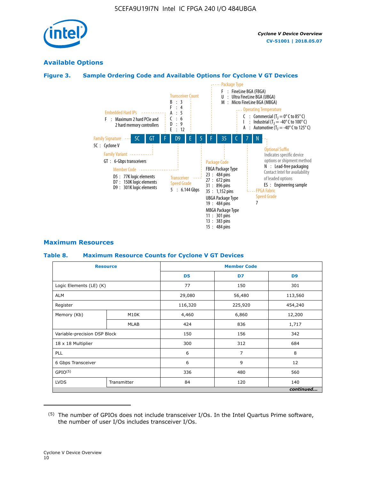

## **Available Options**

#### **Figure 3. Sample Ordering Code and Available Options for Cyclone V GT Devices**



#### **Maximum Resources**

#### **Table 8. Maximum Resource Counts for Cyclone V GT Devices**

|                              | <b>Resource</b> | <b>Member Code</b> |         |                |  |  |
|------------------------------|-----------------|--------------------|---------|----------------|--|--|
|                              |                 | D <sub>5</sub>     | D7      | D <sub>9</sub> |  |  |
| Logic Elements (LE) (K)      |                 | 77                 | 150     | 301            |  |  |
| <b>ALM</b>                   |                 | 29,080             | 56,480  | 113,560        |  |  |
| Register                     |                 | 116,320            | 225,920 | 454,240        |  |  |
| Memory (Kb)                  | M10K            | 4,460              | 6,860   | 12,200         |  |  |
|                              | <b>MLAB</b>     | 424                | 836     | 1,717          |  |  |
| Variable-precision DSP Block |                 | 150                | 156     | 342            |  |  |
| 18 x 18 Multiplier           |                 | 300                | 312     | 684            |  |  |
| PLL                          |                 | 6                  | 7       | 8              |  |  |
| 6 Gbps Transceiver           |                 | 6                  | 9       | 12             |  |  |
| GPIO <sup>(5)</sup>          |                 | 336                | 480     | 560            |  |  |
| <b>LVDS</b>                  | Transmitter     | 84                 | 120     | 140            |  |  |
|                              |                 |                    |         | continued      |  |  |

<sup>(5)</sup> The number of GPIOs does not include transceiver I/Os. In the Intel Quartus Prime software, the number of user I/Os includes transceiver I/Os.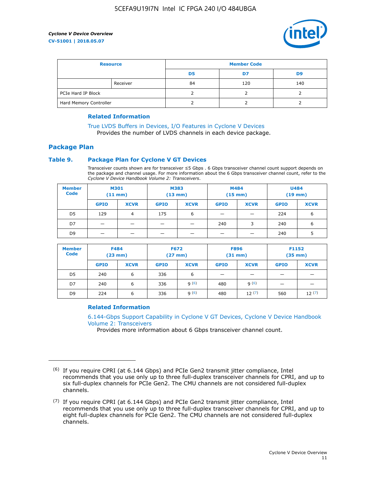

| <b>Resource</b>        |          | <b>Member Code</b> |     |     |  |  |
|------------------------|----------|--------------------|-----|-----|--|--|
|                        |          | D <sub>5</sub>     | D7  | D9  |  |  |
|                        | Receiver | 84                 | 120 | 140 |  |  |
| PCIe Hard IP Block     |          |                    |     |     |  |  |
| Hard Memory Controller |          |                    |     |     |  |  |

#### **Related Information**

[True LVDS Buffers in Devices, I/O Features in Cyclone V Devices](https://www.altera.com/documentation/sam1403481100977.html#sam1403480885395) Provides the number of LVDS channels in each device package.

#### **Package Plan**

#### **Table 9. Package Plan for Cyclone V GT Devices**

Transceiver counts shown are for transceiver ≤5 Gbps . 6 Gbps transceiver channel count support depends on the package and channel usage. For more information about the 6 Gbps transceiver channel count, refer to the *Cyclone V Device Handbook Volume 2: Transceivers*.

| <b>Member</b><br><b>Code</b> | <b>M301</b><br>$(11$ mm) |             | M383<br>$(13 \text{ mm})$ |             | M484<br>$(15$ mm $)$     |                          | <b>U484</b><br>$(19$ mm) |             |
|------------------------------|--------------------------|-------------|---------------------------|-------------|--------------------------|--------------------------|--------------------------|-------------|
|                              | <b>GPIO</b>              | <b>XCVR</b> | <b>GPIO</b>               | <b>XCVR</b> | <b>GPIO</b>              | <b>XCVR</b>              | <b>GPIO</b>              | <b>XCVR</b> |
| D <sub>5</sub>               | 129                      | 4           | 175                       | 6           | $\overline{\phantom{0}}$ | $\overline{\phantom{0}}$ | 224                      | 6           |
| D7                           | -                        |             |                           | _           | 240                      | 3                        | 240                      | 6           |
| D <sub>9</sub>               | -                        |             |                           | _           | _                        | –                        | 240                      | 5           |

| <b>Member</b><br><b>Code</b> | <b>F484</b><br>$(23$ mm $)$ |             | <b>F672</b><br>$(27 \text{ mm})$ |             | <b>F896</b><br>$(31$ mm $)$ |             | F1152<br>$(35$ mm $)$ |             |
|------------------------------|-----------------------------|-------------|----------------------------------|-------------|-----------------------------|-------------|-----------------------|-------------|
|                              | <b>GPIO</b>                 | <b>XCVR</b> | <b>GPIO</b>                      | <b>XCVR</b> | <b>GPIO</b>                 | <b>XCVR</b> | <b>GPIO</b>           | <b>XCVR</b> |
| D <sub>5</sub>               | 240                         | 6           | 336                              | 6           | -                           |             |                       |             |
| D7                           | 240                         | 6           | 336                              | q(6)        | 480                         | q(6)        | -                     | _           |
| D <sub>9</sub>               | 224                         | 6           | 336                              | q(6)        | 480                         | 12(7)       | 560                   | 12(7)       |

#### **Related Information**

[6.144-Gbps Support Capability in Cyclone V GT Devices, Cyclone V Device Handbook](https://www.altera.com/documentation/nik1409855456781.html#nik1409855410757) [Volume 2: Transceivers](https://www.altera.com/documentation/nik1409855456781.html#nik1409855410757)

Provides more information about 6 Gbps transceiver channel count.

<sup>(6)</sup> If you require CPRI (at 6.144 Gbps) and PCIe Gen2 transmit jitter compliance, Intel recommends that you use only up to three full-duplex transceiver channels for CPRI, and up to six full-duplex channels for PCIe Gen2. The CMU channels are not considered full-duplex channels.

 $(7)$  If you require CPRI (at 6.144 Gbps) and PCIe Gen2 transmit jitter compliance, Intel recommends that you use only up to three full-duplex transceiver channels for CPRI, and up to eight full-duplex channels for PCIe Gen2. The CMU channels are not considered full-duplex channels.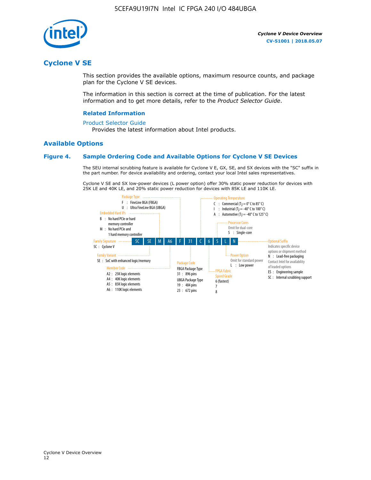

## **Cyclone V SE**

This section provides the available options, maximum resource counts, and package plan for the Cyclone V SE devices.

The information in this section is correct at the time of publication. For the latest information and to get more details, refer to the *Product Selector Guide*.

#### **Related Information**

#### [Product Selector Guide](https://www.altera.com/products/product-selector-guide.html)

Provides the latest information about Intel products.

#### **Available Options**

#### **Figure 4. Sample Ordering Code and Available Options for Cyclone V SE Devices**

The SEU internal scrubbing feature is available for Cyclone V E, GX, SE, and SX devices with the "SC" suffix in the part number. For device availability and ordering, contact your local Intel sales representatives.

Cyclone V SE and SX low-power devices (L power option) offer 30% static power reduction for devices with 25K LE and 40K LE, and 20% static power reduction for devices with 85K LE and 110K LE.

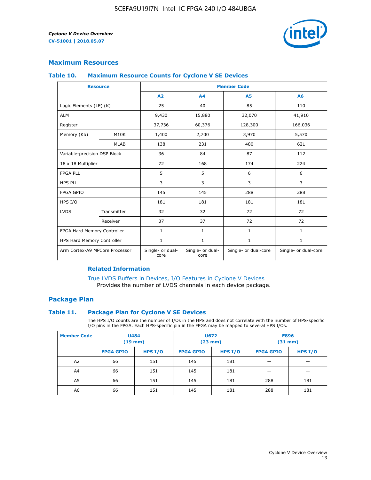

#### **Maximum Resources**

#### **Table 10. Maximum Resource Counts for Cyclone V SE Devices**

|                                | <b>Resource</b>              | <b>Member Code</b>       |                          |                      |                      |  |
|--------------------------------|------------------------------|--------------------------|--------------------------|----------------------|----------------------|--|
|                                |                              | A <sub>2</sub>           | A <sub>4</sub>           | <b>A5</b>            | A6                   |  |
| Logic Elements (LE) (K)        |                              | 25                       | 40                       | 85                   | 110                  |  |
| <b>ALM</b>                     |                              | 9,430                    | 15,880                   | 32,070               | 41,910               |  |
| Register                       |                              | 37,736                   | 60,376                   | 128,300              | 166,036              |  |
| Memory (Kb)                    | M <sub>10</sub> K            | 1,400                    | 2,700                    | 3,970                | 5,570                |  |
|                                | <b>MLAB</b>                  | 138                      | 231                      | 480                  | 621                  |  |
|                                | Variable-precision DSP Block |                          | 84                       | 87                   | 112                  |  |
| 18 x 18 Multiplier             |                              | 72                       | 168                      | 174                  | 224                  |  |
| <b>FPGA PLL</b>                |                              | 5                        | 5                        | 6                    | 6                    |  |
| <b>HPS PLL</b>                 |                              | 3                        | 3                        | 3                    | 3                    |  |
| <b>FPGA GPIO</b>               |                              | 145                      | 145                      | 288                  | 288                  |  |
| HPS I/O                        |                              | 181                      | 181                      | 181                  | 181                  |  |
| <b>LVDS</b>                    | Transmitter                  | 32                       | 32                       | 72                   | 72                   |  |
|                                | Receiver                     | 37                       | 37                       | 72                   | 72                   |  |
| FPGA Hard Memory Controller    |                              | $\mathbf{1}$             | $\mathbf{1}$             | $\mathbf{1}$         | $\mathbf{1}$         |  |
| HPS Hard Memory Controller     |                              | $\mathbf{1}$             | $\mathbf{1}$             | $\mathbf{1}$         | $\mathbf{1}$         |  |
| Arm Cortex-A9 MPCore Processor |                              | Single- or dual-<br>core | Single- or dual-<br>core | Single- or dual-core | Single- or dual-core |  |

#### **Related Information**

[True LVDS Buffers in Devices, I/O Features in Cyclone V Devices](https://www.altera.com/documentation/sam1403481100977.html#sam1403480885395) Provides the number of LVDS channels in each device package.

#### **Package Plan**

#### **Table 11. Package Plan for Cyclone V SE Devices**

The HPS I/O counts are the number of I/Os in the HPS and does not correlate with the number of HPS-specific I/O pins in the FPGA. Each HPS-specific pin in the FPGA may be mapped to several HPS I/Os.

| <b>Member Code</b> | <b>U484</b><br>$(19$ mm) |           | <b>U672</b><br>(23 mm) |         | <b>F896</b><br>$(31$ mm $)$ |           |
|--------------------|--------------------------|-----------|------------------------|---------|-----------------------------|-----------|
|                    | <b>FPGA GPIO</b>         | HPS $I/O$ | <b>FPGA GPIO</b>       | HPS I/O | <b>FPGA GPIO</b>            | HPS $I/O$ |
| A <sub>2</sub>     | 66                       | 151       | 145                    | 181     |                             |           |
| A4                 | 66                       | 151       | 145                    | 181     |                             |           |
| A <sub>5</sub>     | 66                       | 151       | 145                    | 181     | 288                         | 181       |
| A6                 | 66                       | 151       | 145                    | 181     | 288                         | 181       |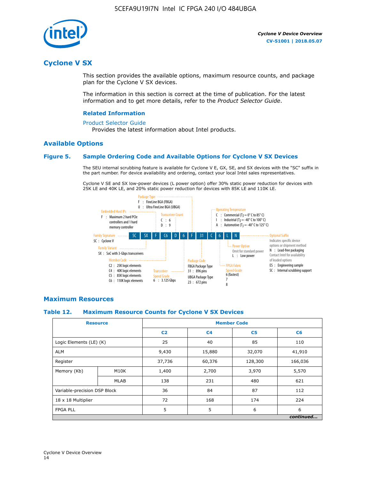

## **Cyclone V SX**

This section provides the available options, maximum resource counts, and package plan for the Cyclone V SX devices.

The information in this section is correct at the time of publication. For the latest information and to get more details, refer to the *Product Selector Guide*.

#### **Related Information**

#### [Product Selector Guide](https://www.altera.com/products/product-selector-guide.html)

Provides the latest information about Intel products.

#### **Available Options**

#### **Figure 5. Sample Ordering Code and Available Options for Cyclone V SX Devices**

The SEU internal scrubbing feature is available for Cyclone V E, GX, SE, and SX devices with the "SC" suffix in the part number. For device availability and ordering, contact your local Intel sales representatives.

Cyclone V SE and SX low-power devices (L power option) offer 30% static power reduction for devices with 25K LE and 40K LE, and 20% static power reduction for devices with 85K LE and 110K LE.



#### **Maximum Resources**

#### **Table 12. Maximum Resource Counts for Cyclone V SX Devices**

|                              | <b>Resource</b> | <b>Member Code</b> |                |                |           |  |
|------------------------------|-----------------|--------------------|----------------|----------------|-----------|--|
|                              |                 | C <sub>2</sub>     | C <sub>4</sub> | C <sub>5</sub> | C6        |  |
| Logic Elements (LE) (K)      |                 | 25                 | 40             | 85             | 110       |  |
| <b>ALM</b>                   |                 | 9,430              | 15,880         | 32,070         | 41,910    |  |
| Register                     |                 | 37,736             | 60,376         | 128,300        | 166,036   |  |
| Memory (Kb)                  | M10K            | 1,400              | 2,700          | 3,970          | 5,570     |  |
|                              | <b>MLAB</b>     | 138                | 231            | 480            | 621       |  |
| Variable-precision DSP Block |                 | 36                 | 84             | 87             | 112       |  |
| 18 x 18 Multiplier           |                 | 72                 | 168            | 174            | 224       |  |
| <b>FPGA PLL</b>              |                 | 5                  | 5              | 6              | 6         |  |
|                              |                 |                    |                |                | continued |  |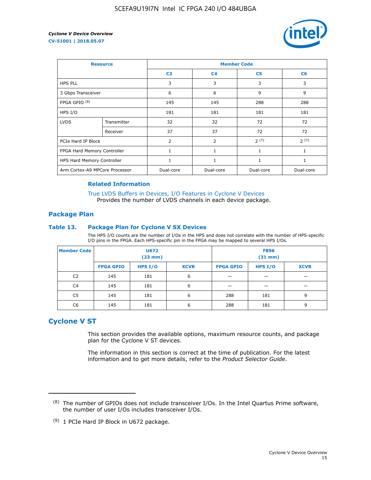

| <b>Resource</b>                |             | <b>Member Code</b> |                |                |              |  |  |
|--------------------------------|-------------|--------------------|----------------|----------------|--------------|--|--|
|                                |             | C <sub>2</sub>     | C <sub>4</sub> | C <sub>5</sub> | C6           |  |  |
| <b>HPS PLL</b>                 |             | 3                  | 3              | 3              | 3            |  |  |
| 3 Gbps Transceiver             |             | 6                  | 6              | 9              | 9            |  |  |
| FPGA GPIO <sup>(8)</sup>       |             | 145                | 145            | 288            | 288          |  |  |
| HPS I/O                        |             | 181                | 181            | 181            | 181          |  |  |
| <b>LVDS</b>                    | Transmitter | 32                 | 32             | 72             | 72           |  |  |
|                                | Receiver    | 37                 | 37             | 72             | 72           |  |  |
| PCIe Hard IP Block             |             | $\overline{2}$     | $\overline{2}$ | 2(9)           | 2(9)         |  |  |
| FPGA Hard Memory Controller    |             | 1                  | $\mathbf{1}$   | 1              | $\mathbf{1}$ |  |  |
| HPS Hard Memory Controller     |             | 1                  | $\mathbf{1}$   | 1              | 1            |  |  |
| Arm Cortex-A9 MPCore Processor |             | Dual-core          | Dual-core      | Dual-core      | Dual-core    |  |  |

#### **Related Information**

[True LVDS Buffers in Devices, I/O Features in Cyclone V Devices](https://www.altera.com/documentation/sam1403481100977.html#sam1403480885395) Provides the number of LVDS channels in each device package.

#### **Package Plan**

#### **Table 13. Package Plan for Cyclone V SX Devices**

The HPS I/O counts are the number of I/Os in the HPS and does not correlate with the number of HPS-specific I/O pins in the FPGA. Each HPS-specific pin in the FPGA may be mapped to several HPS I/Os.

| <b>Member Code</b> | U672<br>(23 mm)  |           |             | <b>F896</b><br>$(31$ mm $)$ |           |             |
|--------------------|------------------|-----------|-------------|-----------------------------|-----------|-------------|
|                    | <b>FPGA GPIO</b> | HPS $I/O$ | <b>XCVR</b> | <b>FPGA GPIO</b>            | HPS $I/O$ | <b>XCVR</b> |
| C <sub>2</sub>     | 145              | 181       | 6           |                             |           |             |
| C <sub>4</sub>     | 145              | 181       | 6           |                             |           |             |
| C5                 | 145              | 181       | 6           | 288                         | 181       | 9           |
| C6                 | 145              | 181       | 6           | 288                         | 181       | 9           |

## **Cyclone V ST**

This section provides the available options, maximum resource counts, and package plan for the Cyclone V ST devices.

The information in this section is correct at the time of publication. For the latest information and to get more details, refer to the *Product Selector Guide*.

 $(8)$  The number of GPIOs does not include transceiver I/Os. In the Intel Quartus Prime software, the number of user I/Os includes transceiver I/Os.

<sup>(9)</sup> 1 PCIe Hard IP Block in U672 package.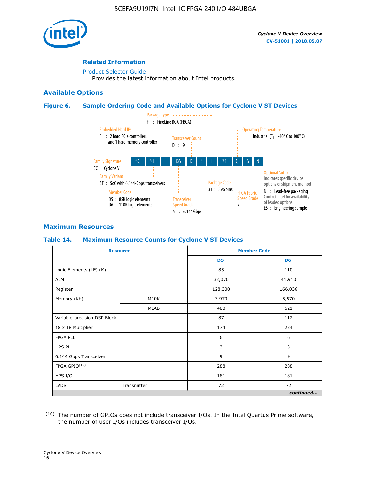

#### **Related Information**

[Product Selector Guide](https://www.altera.com/products/product-selector-guide.html) Provides the latest information about Intel products.

#### **Available Options**

#### **Figure 6. Sample Ordering Code and Available Options for Cyclone V ST Devices**



#### **Maximum Resources**

#### **Table 14. Maximum Resource Counts for Cyclone V ST Devices**

| <b>Resource</b>              |             |                | <b>Member Code</b> |
|------------------------------|-------------|----------------|--------------------|
|                              |             | D <sub>5</sub> | D <sub>6</sub>     |
| Logic Elements (LE) (K)      |             | 85             | 110                |
| <b>ALM</b>                   |             | 32,070         | 41,910             |
| Register                     |             | 128,300        | 166,036            |
| Memory (Kb)                  | M10K        | 3,970          | 5,570              |
|                              | <b>MLAB</b> | 480            | 621                |
| Variable-precision DSP Block |             | 87             | 112                |
| 18 x 18 Multiplier           |             | 174            | 224                |
| <b>FPGA PLL</b>              |             | 6              | 6                  |
| <b>HPS PLL</b>               |             | 3              | 3                  |
| 6.144 Gbps Transceiver       |             | 9              | 9                  |
| FPGA GPIO(10)                |             | 288            | 288                |
| HPS I/O                      |             | 181            | 181                |
| <b>LVDS</b>                  | Transmitter | 72             | 72                 |
|                              |             |                | continued          |

<sup>(10)</sup> The number of GPIOs does not include transceiver I/Os. In the Intel Quartus Prime software, the number of user I/Os includes transceiver I/Os.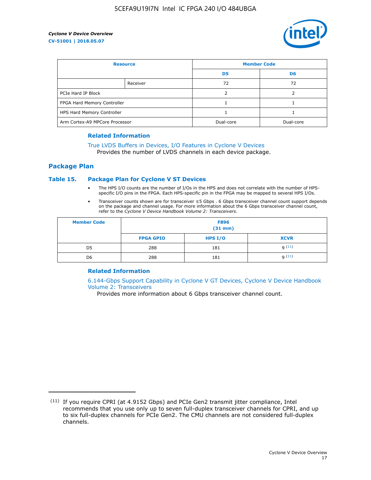

| <b>Resource</b>                |          | <b>Member Code</b> |                |  |
|--------------------------------|----------|--------------------|----------------|--|
|                                |          | D <sub>5</sub>     | D <sub>6</sub> |  |
|                                | Receiver | 72                 | 72             |  |
| PCIe Hard IP Block             |          |                    |                |  |
| FPGA Hard Memory Controller    |          |                    |                |  |
| HPS Hard Memory Controller     |          |                    |                |  |
| Arm Cortex-A9 MPCore Processor |          | Dual-core          | Dual-core      |  |

#### **Related Information**

## [True LVDS Buffers in Devices, I/O Features in Cyclone V Devices](https://www.altera.com/documentation/sam1403481100977.html#sam1403480885395)

Provides the number of LVDS channels in each device package.

#### **Package Plan**

#### **Table 15. Package Plan for Cyclone V ST Devices**

- The HPS I/O counts are the number of I/Os in the HPS and does not correlate with the number of HPSspecific I/O pins in the FPGA. Each HPS-specific pin in the FPGA may be mapped to several HPS I/Os.
- Transceiver counts shown are for transceiver ≤5 Gbps . 6 Gbps transceiver channel count support depends on the package and channel usage. For more information about the 6 Gbps transceiver channel count, refer to the *Cyclone V Device Handbook Volume 2: Transceivers*.

| <b>Member Code</b> | <b>F896</b><br>$(31$ mm $)$ |           |             |  |  |
|--------------------|-----------------------------|-----------|-------------|--|--|
|                    | <b>FPGA GPIO</b>            | HPS $I/O$ | <b>XCVR</b> |  |  |
| D <sub>5</sub>     | 288                         | 181       | 9(11)       |  |  |
| D <sub>6</sub>     | 288                         | 181       | q(11)       |  |  |

#### **Related Information**

[6.144-Gbps Support Capability in Cyclone V GT Devices, Cyclone V Device Handbook](https://www.altera.com/documentation/nik1409855456781.html#nik1409855410757) [Volume 2: Transceivers](https://www.altera.com/documentation/nik1409855456781.html#nik1409855410757)

Provides more information about 6 Gbps transceiver channel count.

<sup>(11)</sup> If you require CPRI (at 4.9152 Gbps) and PCIe Gen2 transmit jitter compliance, Intel recommends that you use only up to seven full-duplex transceiver channels for CPRI, and up to six full-duplex channels for PCIe Gen2. The CMU channels are not considered full-duplex channels.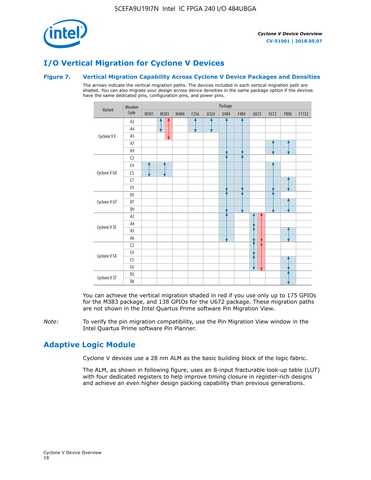

## **I/O Vertical Migration for Cyclone V Devices**

#### **Figure 7. Vertical Migration Capability Across Cyclone V Device Packages and Densities**

The arrows indicate the vertical migration paths. The devices included in each vertical migration path are shaded. You can also migrate your design across device densities in the same package option if the devices have the same dedicated pins, configuration pins, and power pins.



You can achieve the vertical migration shaded in red if you use only up to 175 GPIOs for the M383 package, and 138 GPIOs for the U672 package. These migration paths are not shown in the Intel Quartus Prime software Pin Migration View.

*Note:* To verify the pin migration compatibility, use the Pin Migration View window in the Intel Quartus Prime software Pin Planner.

## **Adaptive Logic Module**

Cyclone V devices use a 28 nm ALM as the basic building block of the logic fabric.

The ALM, as shown in following figure, uses an 8-input fracturable look-up table (LUT) with four dedicated registers to help improve timing closure in register-rich designs and achieve an even higher design packing capability than previous generations.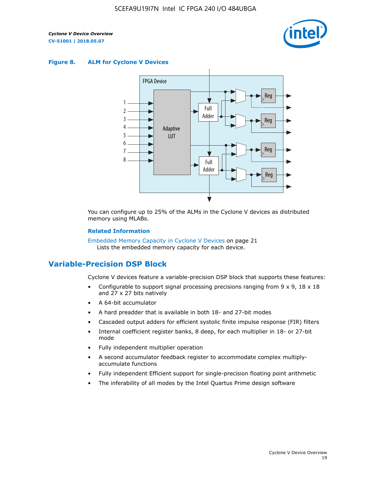

#### **Figure 8. ALM for Cyclone V Devices**



You can configure up to 25% of the ALMs in the Cyclone V devices as distributed memory using MLABs.

#### **Related Information**

Embedded Memory Capacity in Cyclone V Devices on page 21 Lists the embedded memory capacity for each device.

## **Variable-Precision DSP Block**

Cyclone V devices feature a variable-precision DSP block that supports these features:

- Configurable to support signal processing precisions ranging from  $9 \times 9$ ,  $18 \times 18$ and 27 x 27 bits natively
- A 64-bit accumulator
- A hard preadder that is available in both 18- and 27-bit modes
- Cascaded output adders for efficient systolic finite impulse response (FIR) filters
- Internal coefficient register banks, 8 deep, for each multiplier in 18- or 27-bit mode
- Fully independent multiplier operation
- A second accumulator feedback register to accommodate complex multiplyaccumulate functions
- Fully independent Efficient support for single-precision floating point arithmetic
- The inferability of all modes by the Intel Quartus Prime design software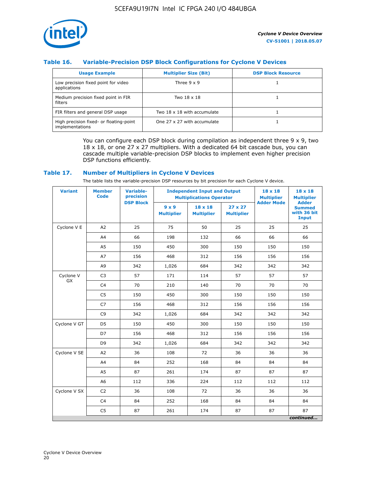

#### **Table 16. Variable-Precision DSP Block Configurations for Cyclone V Devices**

| <b>Usage Example</b>                                       | <b>Multiplier Size (Bit)</b> | <b>DSP Block Resource</b> |
|------------------------------------------------------------|------------------------------|---------------------------|
| Low precision fixed point for video<br>applications        | Three $9 \times 9$           |                           |
| Medium precision fixed point in FIR<br>filters             | Two 18 x 18                  |                           |
| FIR filters and general DSP usage                          | Two 18 x 18 with accumulate  |                           |
| High precision fixed- or floating-point<br>implementations | One 27 x 27 with accumulate  |                           |

You can configure each DSP block during compilation as independent three  $9 \times 9$ , two 18 x 18, or one 27 x 27 multipliers. With a dedicated 64 bit cascade bus, you can cascade multiple variable-precision DSP blocks to implement even higher precision DSP functions efficiently.

#### **Table 17. Number of Multipliers in Cyclone V Devices**

The table lists the variable-precision DSP resources by bit precision for each Cyclone V device.

| <b>Variant</b>  | <b>Member</b><br>Code | <b>Variable-</b><br>precision |                                   | <b>Independent Input and Output</b><br><b>Multiplications Operator</b> |                                     |                   | $18 \times 18$<br><b>Multiplier</b>                          |
|-----------------|-----------------------|-------------------------------|-----------------------------------|------------------------------------------------------------------------|-------------------------------------|-------------------|--------------------------------------------------------------|
|                 |                       | <b>DSP Block</b>              | $9 \times 9$<br><b>Multiplier</b> | $18 \times 18$<br><b>Multiplier</b>                                    | $27 \times 27$<br><b>Multiplier</b> | <b>Adder Mode</b> | <b>Adder</b><br><b>Summed</b><br>with 36 bit<br><b>Input</b> |
| Cyclone V E     | A2                    | 25                            | 75                                | 50                                                                     | 25                                  | 25                | 25                                                           |
|                 | A4                    | 66                            | 198                               | 132                                                                    | 66                                  | 66                | 66                                                           |
|                 | A <sub>5</sub>        | 150                           | 450                               | 300                                                                    | 150                                 | 150               | 150                                                          |
|                 | A7                    | 156                           | 468                               | 312                                                                    | 156                                 | 156               | 156                                                          |
|                 | A9                    | 342                           | 1,026                             | 684                                                                    | 342                                 | 342               | 342                                                          |
| Cyclone V<br>GX | C <sub>3</sub>        | 57                            | 171                               | 114                                                                    | 57                                  | 57                | 57                                                           |
|                 | C <sub>4</sub>        | 70                            | 210                               | 140                                                                    | 70                                  | 70                | 70                                                           |
|                 | C <sub>5</sub>        | 150                           | 450                               | 300                                                                    | 150                                 | 150               | 150                                                          |
|                 | C7                    | 156                           | 468                               | 312                                                                    | 156                                 | 156               | 156                                                          |
|                 | C <sub>9</sub>        | 342                           | 1,026                             | 684                                                                    | 342                                 | 342               | 342                                                          |
| Cyclone V GT    | D <sub>5</sub>        | 150                           | 450                               | 300                                                                    | 150                                 | 150               | 150                                                          |
|                 | D7                    | 156                           | 468                               | 312                                                                    | 156                                 | 156               | 156                                                          |
|                 | D <sub>9</sub>        | 342                           | 1,026                             | 684                                                                    | 342                                 | 342               | 342                                                          |
| Cyclone V SE    | A <sub>2</sub>        | 36                            | 108                               | 72                                                                     | 36                                  | 36                | 36                                                           |
|                 | A4                    | 84                            | 252                               | 168                                                                    | 84                                  | 84                | 84                                                           |
|                 | A <sub>5</sub>        | 87                            | 261                               | 174                                                                    | 87                                  | 87                | 87                                                           |
|                 | A <sub>6</sub>        | 112                           | 336                               | 224                                                                    | 112                                 | 112               | 112                                                          |
| Cyclone V SX    | C <sub>2</sub>        | 36                            | 108                               | 72                                                                     | 36                                  | 36                | 36                                                           |
|                 | C <sub>4</sub>        | 84                            | 252                               | 168                                                                    | 84                                  | 84                | 84                                                           |
|                 | C <sub>5</sub>        | 87                            | 261                               | 174                                                                    | 87                                  | 87                | 87                                                           |
|                 |                       |                               |                                   |                                                                        |                                     |                   | continued                                                    |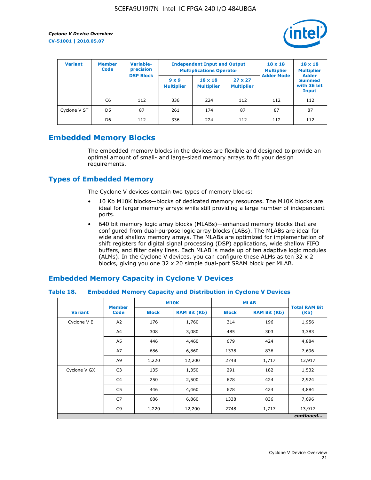

| <b>Variant</b> | <b>Variable-</b><br><b>Member</b><br>precision<br><b>Code</b><br><b>DSP Block</b> |     | <b>Independent Input and Output</b><br><b>Multiplications Operator</b> | $18 \times 18$<br><b>Multiplier</b> | $18 \times 18$<br><b>Multiplier</b><br><b>Adder</b> |                   |                                       |
|----------------|-----------------------------------------------------------------------------------|-----|------------------------------------------------------------------------|-------------------------------------|-----------------------------------------------------|-------------------|---------------------------------------|
|                |                                                                                   |     | $9 \times 9$<br><b>Multiplier</b>                                      | $18 \times 18$<br><b>Multiplier</b> | $27 \times 27$<br><b>Multiplier</b>                 | <b>Adder Mode</b> | <b>Summed</b><br>with 36 bit<br>Input |
|                | C6                                                                                | 112 | 336                                                                    | 224                                 | 112                                                 | 112               | 112                                   |
| Cyclone V ST   | D <sub>5</sub>                                                                    | 87  | 261                                                                    | 174                                 | 87                                                  | 87                | 87                                    |
|                | D <sub>6</sub>                                                                    | 112 | 336                                                                    | 224                                 | 112                                                 | 112               | 112                                   |

## **Embedded Memory Blocks**

The embedded memory blocks in the devices are flexible and designed to provide an optimal amount of small- and large-sized memory arrays to fit your design requirements.

## **Types of Embedded Memory**

The Cyclone V devices contain two types of memory blocks:

- 10 Kb M10K blocks—blocks of dedicated memory resources. The M10K blocks are ideal for larger memory arrays while still providing a large number of independent ports.
- 640 bit memory logic array blocks (MLABs)—enhanced memory blocks that are configured from dual-purpose logic array blocks (LABs). The MLABs are ideal for wide and shallow memory arrays. The MLABs are optimized for implementation of shift registers for digital signal processing (DSP) applications, wide shallow FIFO buffers, and filter delay lines. Each MLAB is made up of ten adaptive logic modules (ALMs). In the Cyclone V devices, you can configure these ALMs as ten 32 x 2 blocks, giving you one 32 x 20 simple dual-port SRAM block per MLAB.

## **Embedded Memory Capacity in Cyclone V Devices**

#### **Table 18. Embedded Memory Capacity and Distribution in Cyclone V Devices**

|                | <b>Member</b>  | <b>M10K</b>  |                     | <b>MLAB</b>  | <b>Total RAM Bit</b> |        |  |  |  |
|----------------|----------------|--------------|---------------------|--------------|----------------------|--------|--|--|--|
| <b>Variant</b> | <b>Code</b>    | <b>Block</b> | <b>RAM Bit (Kb)</b> | <b>Block</b> | <b>RAM Bit (Kb)</b>  | (Kb)   |  |  |  |
| Cyclone V E    | A2             | 176          | 1,760               | 314          | 196                  | 1,956  |  |  |  |
|                | A4             | 308          | 3,080               | 485          | 303                  | 3,383  |  |  |  |
|                | A5             | 446          | 4,460               | 679          | 424                  | 4,884  |  |  |  |
|                | A7             | 686          | 6,860               | 1338         | 836                  | 7,696  |  |  |  |
|                | A9             | 1,220        | 12,200              | 2748         | 1,717                | 13,917 |  |  |  |
| Cyclone V GX   | C <sub>3</sub> | 135          | 1,350               | 291          | 182                  | 1,532  |  |  |  |
|                | C4             | 250          | 2,500               | 678          | 424                  | 2,924  |  |  |  |
|                | C5             | 446          | 4,460               | 678          | 424                  | 4,884  |  |  |  |
|                | C7             | 686          | 6,860               | 1338         | 836                  | 7,696  |  |  |  |
|                | C <sub>9</sub> | 1,220        | 12,200              | 2748         | 1,717                | 13,917 |  |  |  |
|                | continued      |              |                     |              |                      |        |  |  |  |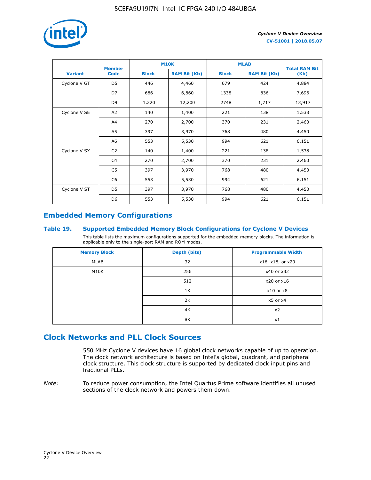

|                | <b>Member</b>  | <b>M10K</b>  |                     | <b>MLAB</b>  | <b>Total RAM Bit</b> |        |
|----------------|----------------|--------------|---------------------|--------------|----------------------|--------|
| <b>Variant</b> | <b>Code</b>    | <b>Block</b> | <b>RAM Bit (Kb)</b> | <b>Block</b> | <b>RAM Bit (Kb)</b>  | (Kb)   |
| Cyclone V GT   | D <sub>5</sub> | 446          | 4,460               | 679          | 424                  | 4,884  |
|                | D7             | 686          | 6,860               | 1338         | 836                  | 7,696  |
|                | D <sub>9</sub> | 1,220        | 12,200              | 2748         | 1,717                | 13,917 |
| Cyclone V SE   | A <sub>2</sub> | 140          | 1,400               | 221          | 138                  | 1,538  |
|                | A4             | 270          | 2,700               | 370          | 231                  | 2,460  |
|                | A5             | 397          | 3,970               | 768          | 480                  | 4,450  |
|                | A6             | 553          | 5,530               | 994          | 621                  | 6,151  |
| Cyclone V SX   | C <sub>2</sub> | 140          | 1,400               | 221          | 138                  | 1,538  |
|                | C4             | 270          | 2,700               | 370          | 231                  | 2,460  |
|                | C5             | 397          | 3,970               | 768          | 480                  | 4,450  |
|                | C <sub>6</sub> | 553          | 5,530               | 994          | 621                  | 6,151  |
| Cyclone V ST   | D <sub>5</sub> | 397          | 3,970               | 768          | 480                  | 4,450  |
|                | D <sub>6</sub> | 553          | 5,530               | 994          | 621                  | 6,151  |

## **Embedded Memory Configurations**

#### **Table 19. Supported Embedded Memory Block Configurations for Cyclone V Devices**

This table lists the maximum configurations supported for the embedded memory blocks. The information is applicable only to the single-port RAM and ROM modes.

| <b>Memory Block</b> | Depth (bits) | <b>Programmable Width</b> |
|---------------------|--------------|---------------------------|
| MLAB                | 32           | x16, x18, or x20          |
| M10K                | 256          | x40 or x32                |
|                     | 512          | x20 or x16                |
|                     | 1K           | $x10$ or $x8$             |
|                     | 2K           | $x5$ or $x4$              |
|                     | 4K           | x2                        |
|                     | 8K           | x1                        |

## **Clock Networks and PLL Clock Sources**

550 MHz Cyclone V devices have 16 global clock networks capable of up to operation. The clock network architecture is based on Intel's global, quadrant, and peripheral clock structure. This clock structure is supported by dedicated clock input pins and fractional PLLs.

*Note:* To reduce power consumption, the Intel Quartus Prime software identifies all unused sections of the clock network and powers them down.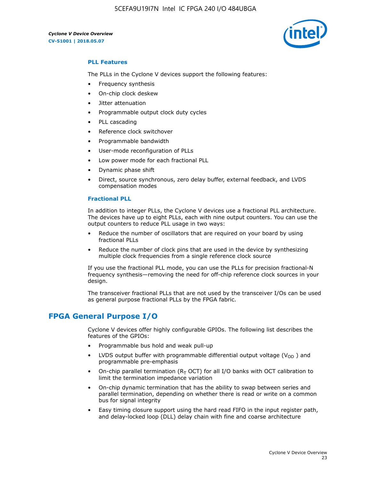5CEFA9U19I7N Intel IC FPGA 240 I/O 484UBGA



#### **PLL Features**

The PLLs in the Cyclone V devices support the following features:

- Frequency synthesis
- On-chip clock deskew
- Jitter attenuation
- Programmable output clock duty cycles
- PLL cascading
- Reference clock switchover
- Programmable bandwidth
- User-mode reconfiguration of PLLs
- Low power mode for each fractional PLL
- Dynamic phase shift
- Direct, source synchronous, zero delay buffer, external feedback, and LVDS compensation modes

#### **Fractional PLL**

In addition to integer PLLs, the Cyclone V devices use a fractional PLL architecture. The devices have up to eight PLLs, each with nine output counters. You can use the output counters to reduce PLL usage in two ways:

- Reduce the number of oscillators that are required on your board by using fractional PLLs
- Reduce the number of clock pins that are used in the device by synthesizing multiple clock frequencies from a single reference clock source

If you use the fractional PLL mode, you can use the PLLs for precision fractional-N frequency synthesis—removing the need for off-chip reference clock sources in your design.

The transceiver fractional PLLs that are not used by the transceiver I/Os can be used as general purpose fractional PLLs by the FPGA fabric.

## **FPGA General Purpose I/O**

Cyclone V devices offer highly configurable GPIOs. The following list describes the features of the GPIOs:

- Programmable bus hold and weak pull-up
- LVDS output buffer with programmable differential output voltage ( $V_{OD}$ ) and programmable pre-emphasis
- On-chip parallel termination ( $R<sub>T</sub>$  OCT) for all I/O banks with OCT calibration to limit the termination impedance variation
- On-chip dynamic termination that has the ability to swap between series and parallel termination, depending on whether there is read or write on a common bus for signal integrity
- Easy timing closure support using the hard read FIFO in the input register path, and delay-locked loop (DLL) delay chain with fine and coarse architecture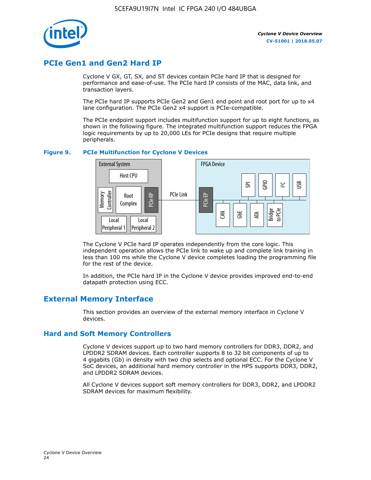

## **PCIe Gen1 and Gen2 Hard IP**

Cyclone V GX, GT, SX, and ST devices contain PCIe hard IP that is designed for performance and ease-of-use. The PCIe hard IP consists of the MAC, data link, and transaction layers.

The PCIe hard IP supports PCIe Gen2 and Gen1 end point and root port for up to x4 lane configuration. The PCIe Gen2 x4 support is PCIe-compatible.

The PCIe endpoint support includes multifunction support for up to eight functions, as shown in the following figure. The integrated multifunction support reduces the FPGA logic requirements by up to 20,000 LEs for PCIe designs that require multiple peripherals.

#### **Figure 9. PCIe Multifunction for Cyclone V Devices**



The Cyclone V PCIe hard IP operates independently from the core logic. This independent operation allows the PCIe link to wake up and complete link training in less than 100 ms while the Cyclone V device completes loading the programming file for the rest of the device.

In addition, the PCIe hard IP in the Cyclone V device provides improved end-to-end datapath protection using ECC.

## **External Memory Interface**

This section provides an overview of the external memory interface in Cyclone V devices.

#### **Hard and Soft Memory Controllers**

Cyclone V devices support up to two hard memory controllers for DDR3, DDR2, and LPDDR2 SDRAM devices. Each controller supports 8 to 32 bit components of up to 4 gigabits (Gb) in density with two chip selects and optional ECC. For the Cyclone V SoC devices, an additional hard memory controller in the HPS supports DDR3, DDR2, and LPDDR2 SDRAM devices.

All Cyclone V devices support soft memory controllers for DDR3, DDR2, and LPDDR2 SDRAM devices for maximum flexibility.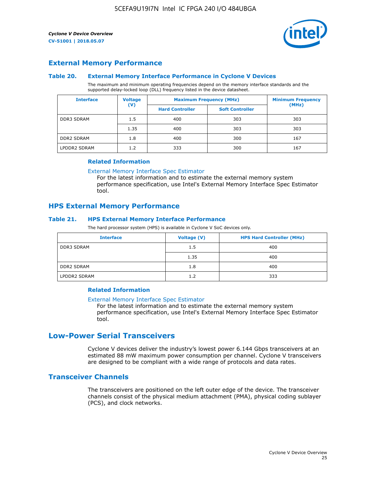

#### **External Memory Performance**

#### **Table 20. External Memory Interface Performance in Cyclone V Devices**

The maximum and minimum operating frequencies depend on the memory interface standards and the supported delay-locked loop (DLL) frequency listed in the device datasheet.

| <b>Voltage</b><br><b>Interface</b> |                | <b>Maximum Frequency (MHz)</b> | <b>Minimum Frequency</b> |       |
|------------------------------------|----------------|--------------------------------|--------------------------|-------|
|                                    | $(\mathsf{V})$ | <b>Hard Controller</b>         | <b>Soft Controller</b>   | (MHz) |
| <b>DDR3 SDRAM</b>                  | 1.5            | 400                            | 303                      | 303   |
|                                    | 1.35           | 400                            | 303                      | 303   |
| <b>DDR2 SDRAM</b>                  | 1.8            | 400                            | 300                      | 167   |
| LPDDR2 SDRAM                       | 1.2            | 333                            | 300                      | 167   |

#### **Related Information**

[External Memory Interface Spec Estimator](https://www.altera.com/solutions/technology/external-memory/spec-estimator.html)

For the latest information and to estimate the external memory system performance specification, use Intel's External Memory Interface Spec Estimator tool.

#### **HPS External Memory Performance**

#### **Table 21. HPS External Memory Interface Performance**

The hard processor system (HPS) is available in Cyclone V SoC devices only.

| <b>Interface</b>  | Voltage (V) | <b>HPS Hard Controller (MHz)</b> |
|-------------------|-------------|----------------------------------|
| <b>DDR3 SDRAM</b> | 1.5         | 400                              |
|                   | 1.35        | 400                              |
| <b>DDR2 SDRAM</b> | 1.8         | 400                              |
| LPDDR2 SDRAM      | 1.2         | 333                              |

#### **Related Information**

#### [External Memory Interface Spec Estimator](https://www.altera.com/solutions/technology/external-memory/spec-estimator.html)

For the latest information and to estimate the external memory system performance specification, use Intel's External Memory Interface Spec Estimator tool.

## **Low-Power Serial Transceivers**

Cyclone V devices deliver the industry's lowest power 6.144 Gbps transceivers at an estimated 88 mW maximum power consumption per channel. Cyclone V transceivers are designed to be compliant with a wide range of protocols and data rates.

#### **Transceiver Channels**

The transceivers are positioned on the left outer edge of the device. The transceiver channels consist of the physical medium attachment (PMA), physical coding sublayer (PCS), and clock networks.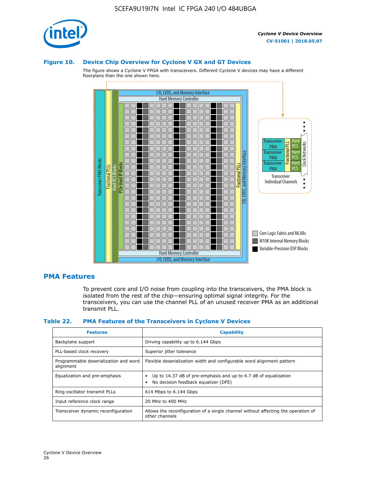

#### **Figure 10. Device Chip Overview for Cyclone V GX and GT Devices**

The figure shows a Cyclone V FPGA with transceivers. Different Cyclone V devices may have a different floorplans than the one shown here.



#### **PMA Features**

To prevent core and I/O noise from coupling into the transceivers, the PMA block is isolated from the rest of the chip—ensuring optimal signal integrity. For the transceivers, you can use the channel PLL of an unused receiver PMA as an additional transmit PLL.

#### **Table 22. PMA Features of the Transceivers in Cyclone V Devices**

| <b>Features</b>                                    | <b>Capability</b>                                                                                       |
|----------------------------------------------------|---------------------------------------------------------------------------------------------------------|
| Backplane support                                  | Driving capability up to 6.144 Gbps                                                                     |
| PLL-based clock recovery                           | Superior jitter tolerance                                                                               |
| Programmable deserialization and word<br>alignment | Flexible deserialization width and configurable word alignment pattern                                  |
| Equalization and pre-emphasis                      | Up to 14.37 dB of pre-emphasis and up to 4.7 dB of equalization<br>No decision feedback equalizer (DFE) |
| Ring oscillator transmit PLLs                      | 614 Mbps to 6.144 Gbps                                                                                  |
| Input reference clock range                        | 20 MHz to 400 MHz                                                                                       |
| Transceiver dynamic reconfiguration                | Allows the reconfiguration of a single channel without affecting the operation of<br>other channels     |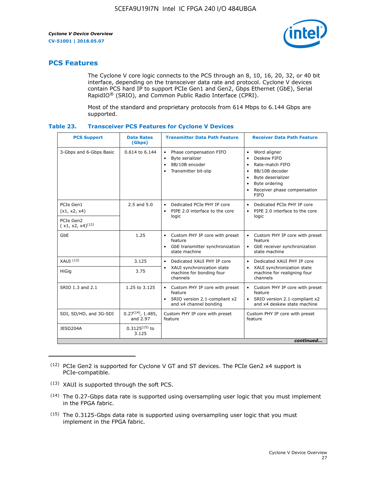

## **PCS Features**

The Cyclone V core logic connects to the PCS through an 8, 10, 16, 20, 32, or 40 bit interface, depending on the transceiver data rate and protocol. Cyclone V devices contain PCS hard IP to support PCIe Gen1 and Gen2, Gbps Ethernet (GbE), Serial RapidIO® (SRIO), and Common Public Radio Interface (CPRI).

Most of the standard and proprietary protocols from 614 Mbps to 6.144 Gbps are supported.

| Table 23. |  | <b>Transceiver PCS Features for Cyclone V Devices</b> |
|-----------|--|-------------------------------------------------------|
|           |  |                                                       |

| <b>PCS Support</b>                 | <b>Data Rates</b><br>(Gbps)        | <b>Transmitter Data Path Feature</b>                                                                         | <b>Receiver Data Path Feature</b>                                                                                                                                                                                                  |  |  |
|------------------------------------|------------------------------------|--------------------------------------------------------------------------------------------------------------|------------------------------------------------------------------------------------------------------------------------------------------------------------------------------------------------------------------------------------|--|--|
| 3-Gbps and 6-Gbps Basic            | 0.614 to 6.144                     | • Phase compensation FIFO<br>Byte serializer<br>8B/10B encoder<br>Transmitter bit-slip                       | Word aligner<br>$\bullet$<br>Deskew FIFO<br>$\bullet$<br>Rate-match FIFO<br>$\bullet$<br>8B/10B decoder<br>$\bullet$<br>Byte deserializer<br>$\bullet$<br>Byte ordering<br>$\bullet$<br>Receiver phase compensation<br><b>FIFO</b> |  |  |
| PCIe Gen1<br>(x1, x2, x4)          | $2.5$ and $5.0$                    | Dedicated PCIe PHY IP core<br>PIPE 2.0 interface to the core<br>$\bullet$<br>logic                           | Dedicated PCIe PHY IP core<br>$\bullet$<br>PIPE 2.0 interface to the core<br>$\bullet$<br>logic                                                                                                                                    |  |  |
| PCIe Gen2<br>$(x1, x2, x4)^{(12)}$ |                                    |                                                                                                              |                                                                                                                                                                                                                                    |  |  |
| GbE                                | 1.25                               | • Custom PHY IP core with preset<br>feature<br>GbE transmitter synchronization<br>$\bullet$<br>state machine | • Custom PHY IP core with preset<br>feature<br>GbE receiver synchronization<br>state machine                                                                                                                                       |  |  |
| $XAUI$ $(13)$                      | 3.125                              | Dedicated XAUI PHY IP core<br>$\bullet$                                                                      | Dedicated XAUI PHY IP core<br>$\bullet$                                                                                                                                                                                            |  |  |
| HiGig                              | 3.75                               | XAUI synchronization state<br>$\bullet$<br>machine for bonding four<br>channels                              | XAUI synchronization state<br>$\bullet$<br>machine for realigning four<br>channels                                                                                                                                                 |  |  |
| SRIO 1.3 and 2.1                   | 1.25 to 3.125                      | • Custom PHY IP core with preset<br>feature<br>• SRIO version 2.1-compliant x2<br>and x4 channel bonding     | • Custom PHY IP core with preset<br>feature<br>• SRIO version 2.1-compliant x2<br>and x4 deskew state machine                                                                                                                      |  |  |
| SDI, SD/HD, and 3G-SDI             | $0.27^{(14)}$ , 1.485,<br>and 2.97 | Custom PHY IP core with preset<br>feature                                                                    | Custom PHY IP core with preset<br>feature                                                                                                                                                                                          |  |  |
| JESD204A                           | $0.3125^{(15)}$ to<br>3.125        |                                                                                                              |                                                                                                                                                                                                                                    |  |  |
| continued                          |                                    |                                                                                                              |                                                                                                                                                                                                                                    |  |  |

<sup>(12)</sup> PCIe Gen2 is supported for Cyclone V GT and ST devices. The PCIe Gen2 x4 support is PCIe-compatible.

<sup>(13)</sup> XAUI is supported through the soft PCS.

<sup>(14)</sup> The 0.27-Gbps data rate is supported using oversampling user logic that you must implement in the FPGA fabric.

<sup>(15)</sup> The 0.3125-Gbps data rate is supported using oversampling user logic that you must implement in the FPGA fabric.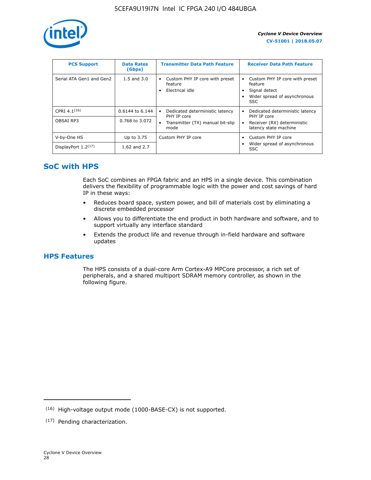

| <b>PCS Support</b>       | <b>Data Rates</b><br>(Gbps) | <b>Transmitter Data Path Feature</b>                         | <b>Receiver Data Path Feature</b>                                                                  |
|--------------------------|-----------------------------|--------------------------------------------------------------|----------------------------------------------------------------------------------------------------|
| Serial ATA Gen1 and Gen2 | $1.5$ and $3.0$             | Custom PHY IP core with preset<br>feature<br>Electrical idle | Custom PHY IP core with preset<br>feature<br>Signal detect<br>Wider spread of asynchronous<br>SSC. |
| CPRI $4.1^{(16)}$        | 0.6144 to 6.144             | Dedicated deterministic latency<br>$\bullet$<br>PHY IP core  | Dedicated deterministic latency<br>PHY IP core                                                     |
| OBSAI RP3                | 0.768 to 3.072              | Transmitter (TX) manual bit-slip<br>mode                     | Receiver (RX) deterministic<br>latency state machine                                               |
| V-by-One HS              | Up to 3.75                  | Custom PHY IP core                                           | Custom PHY IP core                                                                                 |
| DisplayPort $1.2^{(17)}$ | 1.62 and $2.7$              |                                                              | Wider spread of asynchronous<br><b>SSC</b>                                                         |

## **SoC with HPS**

Each SoC combines an FPGA fabric and an HPS in a single device. This combination delivers the flexibility of programmable logic with the power and cost savings of hard IP in these ways:

- Reduces board space, system power, and bill of materials cost by eliminating a discrete embedded processor
- Allows you to differentiate the end product in both hardware and software, and to support virtually any interface standard
- Extends the product life and revenue through in-field hardware and software updates

## **HPS Features**

The HPS consists of a dual-core Arm Cortex-A9 MPCore processor, a rich set of peripherals, and a shared multiport SDRAM memory controller, as shown in the following figure.

<sup>(16)</sup> High-voltage output mode (1000-BASE-CX) is not supported.

<sup>(17)</sup> Pending characterization.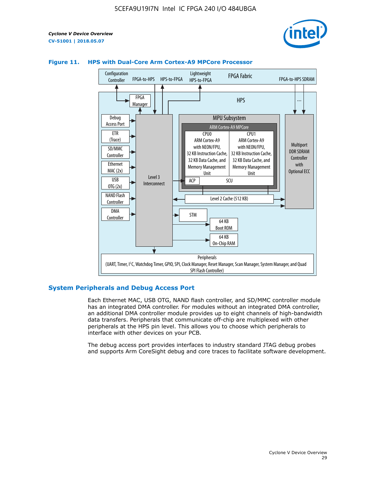



#### **Figure 11. HPS with Dual-Core Arm Cortex-A9 MPCore Processor**

#### **System Peripherals and Debug Access Port**

Each Ethernet MAC, USB OTG, NAND flash controller, and SD/MMC controller module has an integrated DMA controller. For modules without an integrated DMA controller, an additional DMA controller module provides up to eight channels of high-bandwidth data transfers. Peripherals that communicate off-chip are multiplexed with other peripherals at the HPS pin level. This allows you to choose which peripherals to interface with other devices on your PCB.

The debug access port provides interfaces to industry standard JTAG debug probes and supports Arm CoreSight debug and core traces to facilitate software development.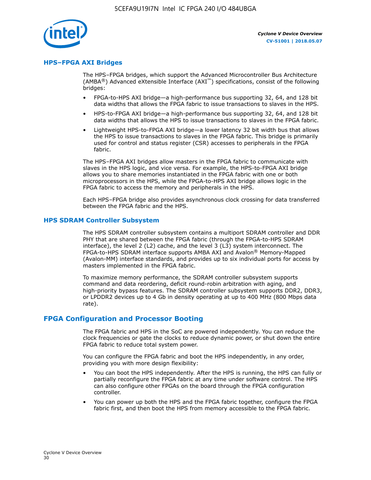

#### **HPS–FPGA AXI Bridges**

The HPS–FPGA bridges, which support the Advanced Microcontroller Bus Architecture (AMBA<sup>®</sup>) Advanced eXtensible Interface (AXI<sup>™</sup>) specifications, consist of the following bridges:

- FPGA-to-HPS AXI bridge—a high-performance bus supporting 32, 64, and 128 bit data widths that allows the FPGA fabric to issue transactions to slaves in the HPS.
- HPS-to-FPGA AXI bridge—a high-performance bus supporting 32, 64, and 128 bit data widths that allows the HPS to issue transactions to slaves in the FPGA fabric.
- Lightweight HPS-to-FPGA AXI bridge—a lower latency 32 bit width bus that allows the HPS to issue transactions to slaves in the FPGA fabric. This bridge is primarily used for control and status register (CSR) accesses to peripherals in the FPGA fabric.

The HPS–FPGA AXI bridges allow masters in the FPGA fabric to communicate with slaves in the HPS logic, and vice versa. For example, the HPS-to-FPGA AXI bridge allows you to share memories instantiated in the FPGA fabric with one or both microprocessors in the HPS, while the FPGA-to-HPS AXI bridge allows logic in the FPGA fabric to access the memory and peripherals in the HPS.

Each HPS–FPGA bridge also provides asynchronous clock crossing for data transferred between the FPGA fabric and the HPS.

#### **HPS SDRAM Controller Subsystem**

The HPS SDRAM controller subsystem contains a multiport SDRAM controller and DDR PHY that are shared between the FPGA fabric (through the FPGA-to-HPS SDRAM interface), the level 2 (L2) cache, and the level 3 (L3) system interconnect. The FPGA-to-HPS SDRAM interface supports AMBA AXI and Avalon® Memory-Mapped (Avalon-MM) interface standards, and provides up to six individual ports for access by masters implemented in the FPGA fabric.

To maximize memory performance, the SDRAM controller subsystem supports command and data reordering, deficit round-robin arbitration with aging, and high-priority bypass features. The SDRAM controller subsystem supports DDR2, DDR3, or LPDDR2 devices up to 4 Gb in density operating at up to 400 MHz (800 Mbps data rate).

#### **FPGA Configuration and Processor Booting**

The FPGA fabric and HPS in the SoC are powered independently. You can reduce the clock frequencies or gate the clocks to reduce dynamic power, or shut down the entire FPGA fabric to reduce total system power.

You can configure the FPGA fabric and boot the HPS independently, in any order, providing you with more design flexibility:

- You can boot the HPS independently. After the HPS is running, the HPS can fully or partially reconfigure the FPGA fabric at any time under software control. The HPS can also configure other FPGAs on the board through the FPGA configuration controller.
- You can power up both the HPS and the FPGA fabric together, configure the FPGA fabric first, and then boot the HPS from memory accessible to the FPGA fabric.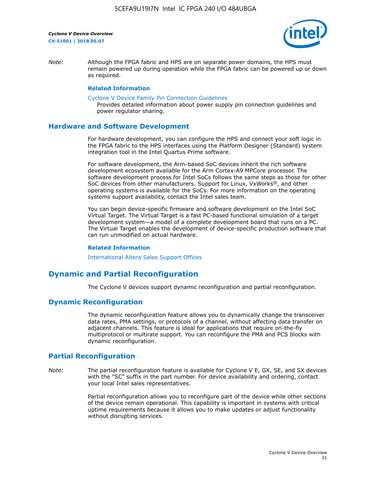

*Note:* Although the FPGA fabric and HPS are on separate power domains, the HPS must remain powered up during operation while the FPGA fabric can be powered up or down as required.

#### **Related Information**

[Cyclone V Device Family Pin Connection Guidelines](https://www.altera.com/content/dam/altera-www/global/en_US/pdfs/literature/dp/cyclone-v/pcg-01014.pdf)

Provides detailed information about power supply pin connection guidelines and power regulator sharing.

#### **Hardware and Software Development**

For hardware development, you can configure the HPS and connect your soft logic in the FPGA fabric to the HPS interfaces using the Platform Designer (Standard) system integration tool in the Intel Quartus Prime software.

For software development, the Arm-based SoC devices inherit the rich software development ecosystem available for the Arm Cortex-A9 MPCore processor. The software development process for Intel SoCs follows the same steps as those for other SoC devices from other manufacturers. Support for Linux, VxWorks®, and other operating systems is available for the SoCs. For more information on the operating systems support availability, contact the Intel sales team.

You can begin device-specific firmware and software development on the Intel SoC Virtual Target. The Virtual Target is a fast PC-based functional simulation of a target development system—a model of a complete development board that runs on a PC. The Virtual Target enables the development of device-specific production software that can run unmodified on actual hardware.

#### **Related Information**

[International Altera Sales Support Offices](https://www.altera.com/about/contact/contact/international-altera-sales-offices.html)

## **Dynamic and Partial Reconfiguration**

The Cyclone V devices support dynamic reconfiguration and partial reconfiguration.

#### **Dynamic Reconfiguration**

The dynamic reconfiguration feature allows you to dynamically change the transceiver data rates, PMA settings, or protocols of a channel, without affecting data transfer on adjacent channels. This feature is ideal for applications that require on-the-fly multiprotocol or multirate support. You can reconfigure the PMA and PCS blocks with dynamic reconfiguration.

## **Partial Reconfiguration**

*Note:* The partial reconfiguration feature is available for Cyclone V E, GX, SE, and SX devices with the "SC" suffix in the part number. For device availability and ordering, contact your local Intel sales representatives.

> Partial reconfiguration allows you to reconfigure part of the device while other sections of the device remain operational. This capability is important in systems with critical uptime requirements because it allows you to make updates or adjust functionality without disrupting services.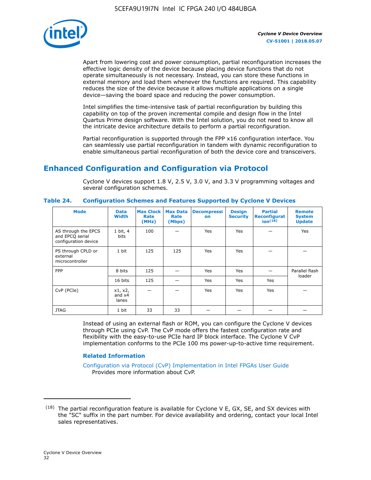

Apart from lowering cost and power consumption, partial reconfiguration increases the effective logic density of the device because placing device functions that do not operate simultaneously is not necessary. Instead, you can store these functions in external memory and load them whenever the functions are required. This capability reduces the size of the device because it allows multiple applications on a single device—saving the board space and reducing the power consumption.

Intel simplifies the time-intensive task of partial reconfiguration by building this capability on top of the proven incremental compile and design flow in the Intel Quartus Prime design software. With the Intel solution, you do not need to know all the intricate device architecture details to perform a partial reconfiguration.

Partial reconfiguration is supported through the FPP x16 configuration interface. You can seamlessly use partial reconfiguration in tandem with dynamic reconfiguration to enable simultaneous partial reconfiguration of both the device core and transceivers.

## **Enhanced Configuration and Configuration via Protocol**

Cyclone V devices support 1.8 V, 2.5 V, 3.0 V, and 3.3 V programming voltages and several configuration schemes.

| <b>Mode</b>                                                    | <b>Data</b><br>Width         | Max Clock  <br>Rate<br>(MHz) | <b>Max Data</b><br>Rate<br>(Mbps) | <b>Decompressi</b><br>on | <b>Design</b><br><b>Security</b> | <b>Partial</b><br>Reconfigurat<br>ion <sup>(18)</sup> | <b>Remote</b><br><b>System</b><br><b>Update</b> |
|----------------------------------------------------------------|------------------------------|------------------------------|-----------------------------------|--------------------------|----------------------------------|-------------------------------------------------------|-------------------------------------------------|
| AS through the EPCS<br>and EPCQ serial<br>configuration device | 1 bit, 4<br>bits             | 100                          |                                   | Yes                      | Yes                              |                                                       | Yes                                             |
| PS through CPLD or<br>external<br>microcontroller              | 1 bit                        | 125                          | 125                               | Yes                      | Yes                              |                                                       |                                                 |
| <b>FPP</b>                                                     | 8 bits                       | 125                          |                                   | Yes                      | Yes                              |                                                       | Parallel flash                                  |
|                                                                | 16 bits                      | 125                          |                                   | Yes                      | Yes                              | Yes                                                   | loader                                          |
| CvP (PCIe)                                                     | x1, x2,<br>and $x4$<br>lanes |                              |                                   | Yes                      | Yes                              | Yes                                                   |                                                 |
| <b>JTAG</b>                                                    | 1 bit                        | 33                           | 33                                |                          |                                  |                                                       |                                                 |

**Table 24. Configuration Schemes and Features Supported by Cyclone V Devices**

Instead of using an external flash or ROM, you can configure the Cyclone V devices through PCIe using CvP. The CvP mode offers the fastest configuration rate and flexibility with the easy-to-use PCIe hard IP block interface. The Cyclone V CvP implementation conforms to the PCIe 100 ms power-up-to-active time requirement.

#### **Related Information**

[Configuration via Protocol \(CvP\) Implementation in Intel FPGAs User Guide](https://www.altera.com/documentation/nik1412546950394.html#nik1412546833714) Provides more information about CvP.

 $(18)$  The partial reconfiguration feature is available for Cyclone V E, GX, SE, and SX devices with the "SC" suffix in the part number. For device availability and ordering, contact your local Intel sales representatives.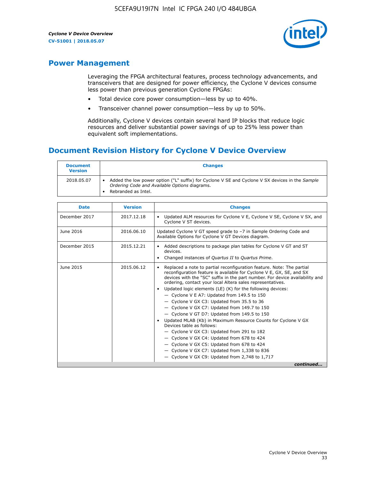

## **Power Management**

Leveraging the FPGA architectural features, process technology advancements, and transceivers that are designed for power efficiency, the Cyclone V devices consume less power than previous generation Cyclone FPGAs:

- Total device core power consumption—less by up to 40%.
- Transceiver channel power consumption—less by up to 50%.

Additionally, Cyclone V devices contain several hard IP blocks that reduce logic resources and deliver substantial power savings of up to 25% less power than equivalent soft implementations.

## **Document Revision History for Cyclone V Device Overview**

| <b>Document</b><br><b>Version</b> | <b>Changes</b>                                                                                                                                                          |
|-----------------------------------|-------------------------------------------------------------------------------------------------------------------------------------------------------------------------|
| 2018.05.07                        | Added the low power option ("L" suffix) for Cyclone V SE and Cyclone V SX devices in the Sample<br>Ordering Code and Available Options diagrams.<br>Rebranded as Intel. |

| <b>Date</b>   | <b>Version</b> | <b>Changes</b>                                                                                                                                                                                                                                                                                                                                                                                                                                                                                                                                                                                                                                                                                                                                                                                                                                                                                                  |
|---------------|----------------|-----------------------------------------------------------------------------------------------------------------------------------------------------------------------------------------------------------------------------------------------------------------------------------------------------------------------------------------------------------------------------------------------------------------------------------------------------------------------------------------------------------------------------------------------------------------------------------------------------------------------------------------------------------------------------------------------------------------------------------------------------------------------------------------------------------------------------------------------------------------------------------------------------------------|
| December 2017 | 2017.12.18     | Updated ALM resources for Cyclone V E, Cyclone V SE, Cyclone V SX, and<br>Cyclone V ST devices.                                                                                                                                                                                                                                                                                                                                                                                                                                                                                                                                                                                                                                                                                                                                                                                                                 |
| June 2016     | 2016.06.10     | Updated Cyclone V GT speed grade to -7 in Sample Ordering Code and<br>Available Options for Cyclone V GT Devices diagram.                                                                                                                                                                                                                                                                                                                                                                                                                                                                                                                                                                                                                                                                                                                                                                                       |
| December 2015 | 2015.12.21     | Added descriptions to package plan tables for Cyclone V GT and ST<br>devices.<br>Changed instances of Quartus II to Quartus Prime.                                                                                                                                                                                                                                                                                                                                                                                                                                                                                                                                                                                                                                                                                                                                                                              |
| June 2015     | 2015.06.12     | Replaced a note to partial reconfiguration feature. Note: The partial<br>reconfiguration feature is available for Cyclone V E, GX, SE, and SX<br>devices with the "SC" suffix in the part number. For device availability and<br>ordering, contact your local Altera sales representatives.<br>Updated logic elements (LE) (K) for the following devices:<br>$\bullet$<br>- Cyclone V E A7: Updated from 149.5 to 150<br>- Cyclone V GX C3: Updated from 35.5 to 36<br>- Cyclone V GX C7: Updated from 149.7 to 150<br>- Cyclone V GT D7: Updated from 149.5 to 150<br>Updated MLAB (Kb) in Maximum Resource Counts for Cyclone V GX<br>Devices table as follows:<br>- Cyclone V GX C3: Updated from 291 to 182<br>- Cyclone V GX C4: Updated from 678 to 424<br>- Cyclone V GX C5: Updated from 678 to 424<br>- Cyclone V GX C7: Updated from 1,338 to 836<br>$-$ Cyclone V GX C9: Updated from 2,748 to 1,717 |
|               |                | continued                                                                                                                                                                                                                                                                                                                                                                                                                                                                                                                                                                                                                                                                                                                                                                                                                                                                                                       |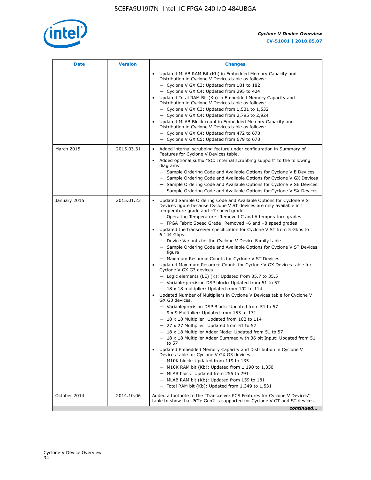

| <b>Date</b>  | <b>Version</b> | <b>Changes</b>                                                                                                                                                                                                                                                                                                                                                                                                                                                                                                                                                                                                                                                                                                                                                                                                                                                                                                                                                                                                                                                                                                                                                                                                                                                                                                                                                                                                                                                                                                                                                                                                                                                                                                |
|--------------|----------------|---------------------------------------------------------------------------------------------------------------------------------------------------------------------------------------------------------------------------------------------------------------------------------------------------------------------------------------------------------------------------------------------------------------------------------------------------------------------------------------------------------------------------------------------------------------------------------------------------------------------------------------------------------------------------------------------------------------------------------------------------------------------------------------------------------------------------------------------------------------------------------------------------------------------------------------------------------------------------------------------------------------------------------------------------------------------------------------------------------------------------------------------------------------------------------------------------------------------------------------------------------------------------------------------------------------------------------------------------------------------------------------------------------------------------------------------------------------------------------------------------------------------------------------------------------------------------------------------------------------------------------------------------------------------------------------------------------------|
|              |                | Updated MLAB RAM Bit (Kb) in Embedded Memory Capacity and<br>Distribution in Cyclone V Devices table as follows:<br>- Cyclone V GX C3: Updated from 181 to 182<br>- Cyclone V GX C4: Updated from 295 to 424<br>Updated Total RAM Bit (Kb) in Embedded Memory Capacity and<br>Distribution in Cyclone V Devices table as follows:<br>$-$ Cyclone V GX C3: Updated from 1,531 to 1,532<br>- Cyclone V GX C4: Updated from 2,795 to 2,924<br>Updated MLAB Block count in Embedded Memory Capacity and<br>Distribution in Cyclone V Devices table as follows:<br>- Cyclone V GX C4: Updated from 472 to 678<br>- Cyclone V GX C5: Updated from 679 to 678                                                                                                                                                                                                                                                                                                                                                                                                                                                                                                                                                                                                                                                                                                                                                                                                                                                                                                                                                                                                                                                        |
| March 2015   | 2015.03.31     | Added internal scrubbing feature under configuration in Summary of<br>$\bullet$<br>Features for Cyclone V Devices table.<br>Added optional suffix "SC: Internal scrubbing support" to the following<br>diagrams:<br>- Sample Ordering Code and Available Options for Cyclone V E Devices<br>- Sample Ordering Code and Available Options for Cyclone V GX Devices<br>- Sample Ordering Code and Available Options for Cyclone V SE Devices<br>- Sample Ordering Code and Available Options for Cyclone V SX Devices                                                                                                                                                                                                                                                                                                                                                                                                                                                                                                                                                                                                                                                                                                                                                                                                                                                                                                                                                                                                                                                                                                                                                                                           |
| January 2015 | 2015.01.23     | Updated Sample Ordering Code and Available Options for Cyclone V ST<br>Devices figure because Cyclone V ST devices are only available in I<br>temperature grade and -7 speed grade.<br>- Operating Temperature: Removed C and A temperature grades<br>- FPGA Fabric Speed Grade: Removed -6 and -8 speed grades<br>Updated the transceiver specification for Cyclone V ST from 5 Gbps to<br>6.144 Gbps:<br>- Device Variants for the Cyclone V Device Family table<br>- Sample Ordering Code and Available Options for Cyclone V ST Devices<br>figure<br>- Maximum Resource Counts for Cyclone V ST Devices<br>Updated Maximum Resource Counts for Cyclone V GX Devices table for<br>Cyclone V GX G3 devices.<br>$-$ Logic elements (LE) (K): Updated from 35.7 to 35.5<br>- Variable-precision DSP block: Updated from 51 to 57<br>$-18 \times 18$ multiplier: Updated from 102 to 114<br>Updated Number of Multipliers in Cyclone V Devices table for Cyclone V<br>GX G3 devices.<br>- Variableprecision DSP Block: Updated from 51 to 57<br>$-9x9$ Multiplier: Updated from 153 to 171<br>$-18 \times 18$ Multiplier: Updated from 102 to 114<br>- 27 x 27 Multiplier: Updated from 51 to 57<br>- 18 x 18 Multiplier Adder Mode: Updated from 51 to 57<br>$-18 \times 18$ Multiplier Adder Summed with 36 bit Input: Updated from 51<br>to 57<br>Updated Embedded Memory Capacity and Distribution in Cyclone V<br>Devices table for Cyclone V GX G3 devices.<br>- M10K block: Updated from 119 to 135<br>- M10K RAM bit (Kb): Updated from 1,190 to 1,350<br>- MLAB block: Updated from 255 to 291<br>- MLAB RAM bit (Kb): Updated from 159 to 181<br>$-$ Total RAM bit (Kb): Updated from 1,349 to 1,531 |
| October 2014 | 2014.10.06     | Added a footnote to the "Transceiver PCS Features for Cyclone V Devices"<br>table to show that PCIe Gen2 is supported for Cyclone V GT and ST devices.                                                                                                                                                                                                                                                                                                                                                                                                                                                                                                                                                                                                                                                                                                                                                                                                                                                                                                                                                                                                                                                                                                                                                                                                                                                                                                                                                                                                                                                                                                                                                        |
|              |                | continued                                                                                                                                                                                                                                                                                                                                                                                                                                                                                                                                                                                                                                                                                                                                                                                                                                                                                                                                                                                                                                                                                                                                                                                                                                                                                                                                                                                                                                                                                                                                                                                                                                                                                                     |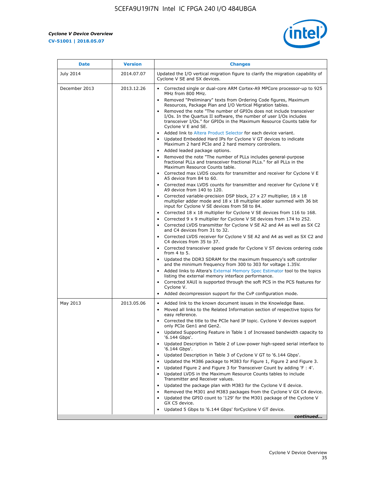$\mathbf{r}$ 



| <b>Date</b>   | <b>Version</b> | <b>Changes</b>                                                                                                                                                                                                                                                                                                                                                                                                                                                                                                                                                                                                                                                                                                                                                                                                                                                                                                                                                                                                                                                                                                                                                                                                                                   |
|---------------|----------------|--------------------------------------------------------------------------------------------------------------------------------------------------------------------------------------------------------------------------------------------------------------------------------------------------------------------------------------------------------------------------------------------------------------------------------------------------------------------------------------------------------------------------------------------------------------------------------------------------------------------------------------------------------------------------------------------------------------------------------------------------------------------------------------------------------------------------------------------------------------------------------------------------------------------------------------------------------------------------------------------------------------------------------------------------------------------------------------------------------------------------------------------------------------------------------------------------------------------------------------------------|
| July 2014     | 2014.07.07     | Updated the I/O vertical migration figure to clarify the migration capability of<br>Cyclone V SE and SX devices.                                                                                                                                                                                                                                                                                                                                                                                                                                                                                                                                                                                                                                                                                                                                                                                                                                                                                                                                                                                                                                                                                                                                 |
| December 2013 | 2013.12.26     | Corrected single or dual-core ARM Cortex-A9 MPCore processor-up to 925<br>MHz from 800 MHz.<br>Removed "Preliminary" texts from Ordering Code figures, Maximum<br>Resources, Package Plan and I/O Vertical Migration tables.<br>Removed the note "The number of GPIOs does not include transceiver<br>I/Os. In the Quartus II software, the number of user I/Os includes<br>transceiver I/Os." for GPIOs in the Maximum Resource Counts table for<br>Cyclone V E and SE.<br>Added link to Altera Product Selector for each device variant.<br>Updated Embedded Hard IPs for Cyclone V GT devices to indicate<br>Maximum 2 hard PCIe and 2 hard memory controllers.<br>• Added leaded package options.<br>Removed the note "The number of PLLs includes general-purpose<br>fractional PLLs and transceiver fractional PLLs." for all PLLs in the<br>Maximum Resource Counts table.<br>• Corrected max LVDS counts for transmitter and receiver for Cyclone V E                                                                                                                                                                                                                                                                                    |
|               |                | A5 device from 84 to 60.<br>• Corrected max LVDS counts for transmitter and receiver for Cyclone V E<br>A9 device from 140 to 120.<br>Corrected variable-precision DSP block, 27 x 27 multiplier, 18 x 18<br>multiplier adder mode and 18 x 18 multiplier adder summed with 36 bit<br>input for Cyclone V SE devices from 58 to 84.<br>Corrected 18 x 18 multiplier for Cyclone V SE devices from 116 to 168.<br>Corrected 9 x 9 multiplier for Cyclone V SE devices from 174 to 252.<br>• Corrected LVDS transmitter for Cyclone V SE A2 and A4 as well as SX C2<br>and C4 devices from 31 to 32.<br>• Corrected LVDS receiver for Cyclone V SE A2 and A4 as well as SX C2 and<br>C4 devices from 35 to 37.<br>• Corrected transceiver speed grade for Cyclone V ST devices ordering code<br>from 4 to 5.<br>• Updated the DDR3 SDRAM for the maximum frequency's soft controller<br>and the minimum frequency from 300 to 303 for voltage 1.35V.<br>Added links to Altera's External Memory Spec Estimator tool to the topics<br>listing the external memory interface performance.<br>• Corrected XAUI is supported through the soft PCS in the PCS features for<br>Cyclone V.<br>Added decompression support for the CvP configuration mode. |
| May 2013      | 2013.05.06     | Added link to the known document issues in the Knowledge Base.<br>$\bullet$<br>Moved all links to the Related Information section of respective topics for<br>$\bullet$<br>easy reference.<br>• Corrected the title to the PCIe hard IP topic. Cyclone V devices support<br>only PCIe Gen1 and Gen2.<br>• Updated Supporting Feature in Table 1 of Increased bandwidth capacity to<br>'6.144 Gbps'.<br>Updated Description in Table 2 of Low-power high-speed serial interface to<br>'6.144 Gbps'.<br>Updated Description in Table 3 of Cyclone V GT to '6.144 Gbps'.<br>Updated the M386 package to M383 for Figure 1, Figure 2 and Figure 3.<br>$\bullet$<br>Updated Figure 2 and Figure 3 for Transceiver Count by adding 'F : 4'.<br>$\bullet$<br>Updated LVDS in the Maximum Resource Counts tables to include<br>Transmitter and Receiver values.<br>Updated the package plan with M383 for the Cyclone V E device.<br>Removed the M301 and M383 packages from the Cyclone V GX C4 device.<br>Updated the GPIO count to '129' for the M301 package of the Cyclone V<br>$\bullet$<br>GX C5 device.<br>Updated 5 Gbps to '6.144 Gbps' for Cyclone V GT device.<br>continued                                                                  |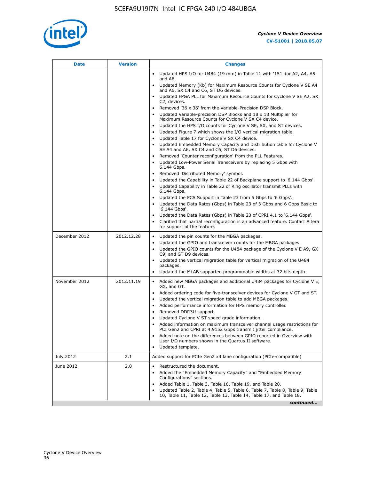

| Date          | <b>Version</b> | <b>Changes</b>                                                                                                                                      |
|---------------|----------------|-----------------------------------------------------------------------------------------------------------------------------------------------------|
|               |                | Updated HPS I/O for U484 (19 mm) in Table 11 with '151' for A2, A4, A5<br>$\bullet$<br>and A6.                                                      |
|               |                | Updated Memory (Kb) for Maximum Resource Counts for Cyclone V SE A4<br>and A6, SX C4 and C6, ST D6 devices.                                         |
|               |                | • Updated FPGA PLL for Maximum Resource Counts for Cyclone V SE A2, SX<br>C2, devices.                                                              |
|               |                | • Removed '36 x 36' from the Variable-Precision DSP Block.                                                                                          |
|               |                | Updated Variable-precision DSP Blocks and $18 \times 18$ Multiplier for<br>Maximum Resource Counts for Cyclone V SX C4 device.                      |
|               |                | • Updated the HPS I/O counts for Cyclone V SE, SX, and ST devices.                                                                                  |
|               |                | Updated Figure 7 which shows the I/O vertical migration table.<br>Updated Table 17 for Cyclone V SX C4 device.<br>$\bullet$                         |
|               |                | Updated Embedded Memory Capacity and Distribution table for Cyclone V<br>$\bullet$                                                                  |
|               |                | SE A4 and A6, SX C4 and C6, ST D6 devices.                                                                                                          |
|               |                | • Removed 'Counter reconfiguration' from the PLL Features.                                                                                          |
|               |                | Updated Low-Power Serial Transceivers by replacing 5 Gbps with<br>6.144 Gbps.                                                                       |
|               |                | Removed 'Distributed Memory' symbol.<br>$\bullet$                                                                                                   |
|               |                | Updated the Capability in Table 22 of Backplane support to '6.144 Gbps'.<br>• Updated Capability in Table 22 of Ring oscillator transmit PLLs with  |
|               |                | 6.144 Gbps.                                                                                                                                         |
|               |                | Updated the PCS Support in Table 23 from 5 Gbps to '6 Gbps'.                                                                                        |
|               |                | Updated the Data Rates (Gbps) in Table 23 of 3 Gbps and 6 Gbps Basic to<br>$\bullet$<br>'6.144 Gbps'.                                               |
|               |                | Updated the Data Rates (Gbps) in Table 23 of CPRI 4.1 to '6.144 Gbps'.                                                                              |
|               |                | Clarified that partial reconfiguration is an advanced feature. Contact Altera                                                                       |
|               |                | for support of the feature.                                                                                                                         |
| December 2012 | 2012.12.28     | Updated the pin counts for the MBGA packages.<br>$\bullet$                                                                                          |
|               |                | Updated the GPIO and transceiver counts for the MBGA packages.<br>٠<br>Updated the GPIO counts for the U484 package of the Cyclone V E A9, GX       |
|               |                | C9, and GT D9 devices.                                                                                                                              |
|               |                | • Updated the vertical migration table for vertical migration of the U484<br>packages.                                                              |
|               |                | Updated the MLAB supported programmable widths at 32 bits depth.                                                                                    |
| November 2012 | 2012.11.19     | • Added new MBGA packages and additional U484 packages for Cyclone V E,                                                                             |
|               |                | GX, and GT.                                                                                                                                         |
|               |                | • Added ordering code for five-transceiver devices for Cyclone V GT and ST.<br>Updated the vertical migration table to add MBGA packages.           |
|               |                | Added performance information for HPS memory controller.<br>$\bullet$                                                                               |
|               |                | Removed DDR3U support.<br>$\bullet$                                                                                                                 |
|               |                | Updated Cyclone V ST speed grade information.                                                                                                       |
|               |                | Added information on maximum transceiver channel usage restrictions for<br>PCI Gen2 and CPRI at 4.9152 Gbps transmit jitter compliance.             |
|               |                | Added note on the differences between GPIO reported in Overview with                                                                                |
|               |                | User I/O numbers shown in the Quartus II software.<br>Updated template.                                                                             |
|               |                |                                                                                                                                                     |
| July 2012     | 2.1            | Added support for PCIe Gen2 x4 lane configuration (PCIe-compatible)                                                                                 |
| June 2012     | 2.0            | Restructured the document.<br>٠                                                                                                                     |
|               |                | Added the "Embedded Memory Capacity" and "Embedded Memory<br>Configurations" sections.                                                              |
|               |                | Added Table 1, Table 3, Table 16, Table 19, and Table 20.                                                                                           |
|               |                | Updated Table 2, Table 4, Table 5, Table 6, Table 7, Table 8, Table 9, Table<br>10, Table 11, Table 12, Table 13, Table 14, Table 17, and Table 18. |
|               |                | continued                                                                                                                                           |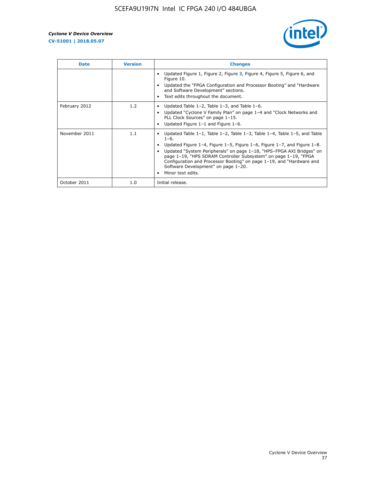

| <b>Date</b>   | <b>Version</b> | <b>Changes</b>                                                                                                                                                                                                                                                                                                                                                                                                                                                                          |
|---------------|----------------|-----------------------------------------------------------------------------------------------------------------------------------------------------------------------------------------------------------------------------------------------------------------------------------------------------------------------------------------------------------------------------------------------------------------------------------------------------------------------------------------|
|               |                | Updated Figure 1, Figure 2, Figure 3, Figure 4, Figure 5, Figure 6, and<br>Figure 10.<br>Updated the "FPGA Configuration and Processor Booting" and "Hardware"<br>and Software Development" sections.<br>Text edits throughout the document.                                                                                                                                                                                                                                            |
| February 2012 | 1.2            | Updated Table $1-2$ , Table $1-3$ , and Table $1-6$ .<br>$\bullet$<br>Updated "Cyclone V Family Plan" on page 1-4 and "Clock Networks and<br>PLL Clock Sources" on page 1-15.<br>Updated Figure 1-1 and Figure 1-6.                                                                                                                                                                                                                                                                     |
| November 2011 | 1.1            | Updated Table $1-1$ , Table $1-2$ , Table $1-3$ , Table $1-4$ , Table $1-5$ , and Table<br>$\bullet$<br>$1 - 6.$<br>Updated Figure 1-4, Figure 1-5, Figure 1-6, Figure 1-7, and Figure 1-8.<br>Updated "System Peripherals" on page 1-18, "HPS-FPGA AXI Bridges" on<br>page 1-19, "HPS SDRAM Controller Subsystem" on page 1-19, "FPGA<br>Configuration and Processor Booting" on page 1-19, and "Hardware and<br>Software Development" on page 1-20.<br>Minor text edits.<br>$\bullet$ |
| October 2011  | 1.0            | Initial release.                                                                                                                                                                                                                                                                                                                                                                                                                                                                        |